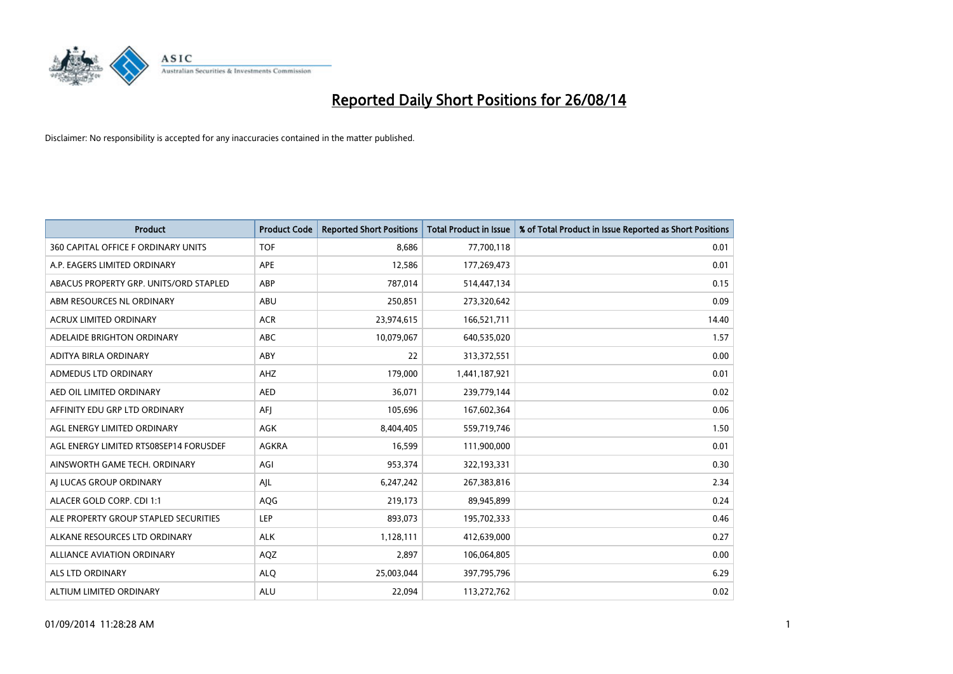

| <b>Product</b>                         | <b>Product Code</b> | <b>Reported Short Positions</b> | <b>Total Product in Issue</b> | % of Total Product in Issue Reported as Short Positions |
|----------------------------------------|---------------------|---------------------------------|-------------------------------|---------------------------------------------------------|
| 360 CAPITAL OFFICE F ORDINARY UNITS    | <b>TOF</b>          | 8,686                           | 77,700,118                    | 0.01                                                    |
| A.P. EAGERS LIMITED ORDINARY           | APE                 | 12,586                          | 177,269,473                   | 0.01                                                    |
| ABACUS PROPERTY GRP. UNITS/ORD STAPLED | ABP                 | 787.014                         | 514,447,134                   | 0.15                                                    |
| ABM RESOURCES NL ORDINARY              | ABU                 | 250,851                         | 273,320,642                   | 0.09                                                    |
| <b>ACRUX LIMITED ORDINARY</b>          | <b>ACR</b>          | 23,974,615                      | 166,521,711                   | 14.40                                                   |
| ADELAIDE BRIGHTON ORDINARY             | <b>ABC</b>          | 10,079,067                      | 640,535,020                   | 1.57                                                    |
| ADITYA BIRLA ORDINARY                  | ABY                 | 22                              | 313,372,551                   | 0.00                                                    |
| ADMEDUS LTD ORDINARY                   | AHZ                 | 179,000                         | 1,441,187,921                 | 0.01                                                    |
| AED OIL LIMITED ORDINARY               | <b>AED</b>          | 36,071                          | 239,779,144                   | 0.02                                                    |
| AFFINITY EDU GRP LTD ORDINARY          | AFI                 | 105,696                         | 167,602,364                   | 0.06                                                    |
| AGL ENERGY LIMITED ORDINARY            | AGK                 | 8,404,405                       | 559,719,746                   | 1.50                                                    |
| AGL ENERGY LIMITED RTS08SEP14 FORUSDEF | AGKRA               | 16,599                          | 111,900,000                   | 0.01                                                    |
| AINSWORTH GAME TECH. ORDINARY          | AGI                 | 953,374                         | 322,193,331                   | 0.30                                                    |
| AI LUCAS GROUP ORDINARY                | AJL                 | 6,247,242                       | 267,383,816                   | 2.34                                                    |
| ALACER GOLD CORP. CDI 1:1              | AQG                 | 219,173                         | 89,945,899                    | 0.24                                                    |
| ALE PROPERTY GROUP STAPLED SECURITIES  | LEP                 | 893,073                         | 195,702,333                   | 0.46                                                    |
| ALKANE RESOURCES LTD ORDINARY          | <b>ALK</b>          | 1,128,111                       | 412,639,000                   | 0.27                                                    |
| <b>ALLIANCE AVIATION ORDINARY</b>      | AQZ                 | 2,897                           | 106,064,805                   | 0.00                                                    |
| ALS LTD ORDINARY                       | <b>ALO</b>          | 25,003,044                      | 397,795,796                   | 6.29                                                    |
| ALTIUM LIMITED ORDINARY                | <b>ALU</b>          | 22,094                          | 113,272,762                   | 0.02                                                    |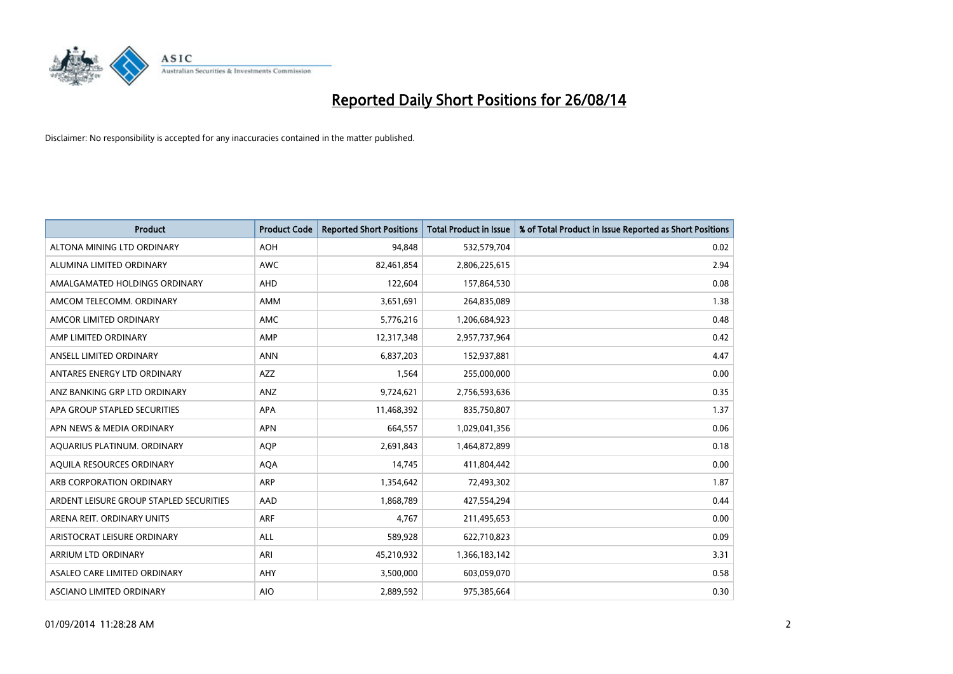

| <b>Product</b>                          | <b>Product Code</b> | <b>Reported Short Positions</b> | <b>Total Product in Issue</b> | % of Total Product in Issue Reported as Short Positions |
|-----------------------------------------|---------------------|---------------------------------|-------------------------------|---------------------------------------------------------|
| ALTONA MINING LTD ORDINARY              | <b>AOH</b>          | 94,848                          | 532,579,704                   | 0.02                                                    |
| ALUMINA LIMITED ORDINARY                | AWC                 | 82,461,854                      | 2,806,225,615                 | 2.94                                                    |
| AMALGAMATED HOLDINGS ORDINARY           | AHD                 | 122,604                         | 157,864,530                   | 0.08                                                    |
| AMCOM TELECOMM. ORDINARY                | AMM                 | 3,651,691                       | 264,835,089                   | 1.38                                                    |
| AMCOR LIMITED ORDINARY                  | AMC                 | 5,776,216                       | 1,206,684,923                 | 0.48                                                    |
| AMP LIMITED ORDINARY                    | AMP                 | 12,317,348                      | 2,957,737,964                 | 0.42                                                    |
| ANSELL LIMITED ORDINARY                 | <b>ANN</b>          | 6,837,203                       | 152,937,881                   | 4.47                                                    |
| ANTARES ENERGY LTD ORDINARY             | AZZ                 | 1,564                           | 255,000,000                   | 0.00                                                    |
| ANZ BANKING GRP LTD ORDINARY            | ANZ                 | 9,724,621                       | 2,756,593,636                 | 0.35                                                    |
| APA GROUP STAPLED SECURITIES            | <b>APA</b>          | 11,468,392                      | 835,750,807                   | 1.37                                                    |
| APN NEWS & MEDIA ORDINARY               | <b>APN</b>          | 664,557                         | 1,029,041,356                 | 0.06                                                    |
| AQUARIUS PLATINUM. ORDINARY             | AQP                 | 2,691,843                       | 1,464,872,899                 | 0.18                                                    |
| AQUILA RESOURCES ORDINARY               | <b>AQA</b>          | 14,745                          | 411,804,442                   | 0.00                                                    |
| ARB CORPORATION ORDINARY                | ARP                 | 1,354,642                       | 72,493,302                    | 1.87                                                    |
| ARDENT LEISURE GROUP STAPLED SECURITIES | AAD                 | 1,868,789                       | 427,554,294                   | 0.44                                                    |
| ARENA REIT. ORDINARY UNITS              | <b>ARF</b>          | 4,767                           | 211,495,653                   | 0.00                                                    |
| ARISTOCRAT LEISURE ORDINARY             | ALL                 | 589,928                         | 622,710,823                   | 0.09                                                    |
| ARRIUM LTD ORDINARY                     | ARI                 | 45,210,932                      | 1,366,183,142                 | 3.31                                                    |
| ASALEO CARE LIMITED ORDINARY            | AHY                 | 3,500,000                       | 603,059,070                   | 0.58                                                    |
| ASCIANO LIMITED ORDINARY                | <b>AIO</b>          | 2,889,592                       | 975,385,664                   | 0.30                                                    |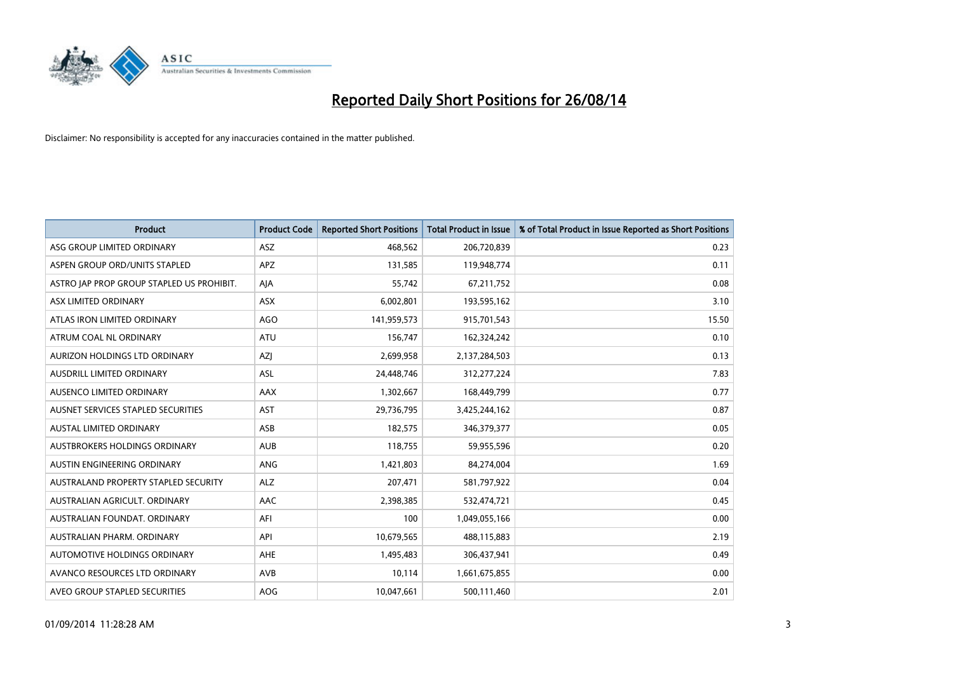

| <b>Product</b>                            | <b>Product Code</b> | <b>Reported Short Positions</b> | <b>Total Product in Issue</b> | % of Total Product in Issue Reported as Short Positions |
|-------------------------------------------|---------------------|---------------------------------|-------------------------------|---------------------------------------------------------|
| ASG GROUP LIMITED ORDINARY                | ASZ                 | 468,562                         | 206,720,839                   | 0.23                                                    |
| ASPEN GROUP ORD/UNITS STAPLED             | APZ                 | 131,585                         | 119,948,774                   | 0.11                                                    |
| ASTRO JAP PROP GROUP STAPLED US PROHIBIT. | AJA                 | 55,742                          | 67,211,752                    | 0.08                                                    |
| ASX LIMITED ORDINARY                      | ASX                 | 6,002,801                       | 193,595,162                   | 3.10                                                    |
| ATLAS IRON LIMITED ORDINARY               | <b>AGO</b>          | 141,959,573                     | 915,701,543                   | 15.50                                                   |
| ATRUM COAL NL ORDINARY                    | <b>ATU</b>          | 156,747                         | 162,324,242                   | 0.10                                                    |
| AURIZON HOLDINGS LTD ORDINARY             | AZJ                 | 2,699,958                       | 2,137,284,503                 | 0.13                                                    |
| AUSDRILL LIMITED ORDINARY                 | ASL                 | 24,448,746                      | 312,277,224                   | 7.83                                                    |
| AUSENCO LIMITED ORDINARY                  | AAX                 | 1,302,667                       | 168,449,799                   | 0.77                                                    |
| AUSNET SERVICES STAPLED SECURITIES        | <b>AST</b>          | 29,736,795                      | 3,425,244,162                 | 0.87                                                    |
| AUSTAL LIMITED ORDINARY                   | ASB                 | 182,575                         | 346,379,377                   | 0.05                                                    |
| AUSTBROKERS HOLDINGS ORDINARY             | <b>AUB</b>          | 118,755                         | 59,955,596                    | 0.20                                                    |
| AUSTIN ENGINEERING ORDINARY               | ANG                 | 1,421,803                       | 84,274,004                    | 1.69                                                    |
| AUSTRALAND PROPERTY STAPLED SECURITY      | <b>ALZ</b>          | 207,471                         | 581,797,922                   | 0.04                                                    |
| AUSTRALIAN AGRICULT, ORDINARY             | AAC                 | 2,398,385                       | 532,474,721                   | 0.45                                                    |
| AUSTRALIAN FOUNDAT. ORDINARY              | AFI                 | 100                             | 1,049,055,166                 | 0.00                                                    |
| AUSTRALIAN PHARM. ORDINARY                | API                 | 10,679,565                      | 488,115,883                   | 2.19                                                    |
| AUTOMOTIVE HOLDINGS ORDINARY              | <b>AHE</b>          | 1,495,483                       | 306,437,941                   | 0.49                                                    |
| AVANCO RESOURCES LTD ORDINARY             | AVB                 | 10,114                          | 1,661,675,855                 | 0.00                                                    |
| AVEO GROUP STAPLED SECURITIES             | <b>AOG</b>          | 10,047,661                      | 500,111,460                   | 2.01                                                    |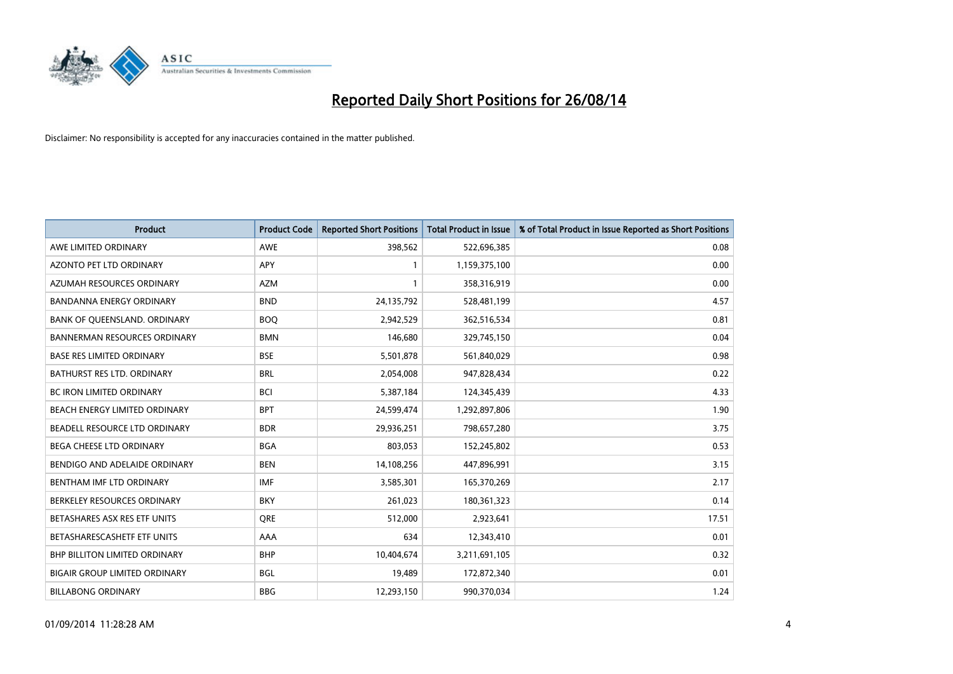

| <b>Product</b>                       | <b>Product Code</b> | <b>Reported Short Positions</b> | <b>Total Product in Issue</b> | % of Total Product in Issue Reported as Short Positions |
|--------------------------------------|---------------------|---------------------------------|-------------------------------|---------------------------------------------------------|
| AWE LIMITED ORDINARY                 | <b>AWE</b>          | 398,562                         | 522,696,385                   | 0.08                                                    |
| AZONTO PET LTD ORDINARY              | <b>APY</b>          | 1                               | 1,159,375,100                 | 0.00                                                    |
| AZUMAH RESOURCES ORDINARY            | <b>AZM</b>          | 1                               | 358,316,919                   | 0.00                                                    |
| BANDANNA ENERGY ORDINARY             | <b>BND</b>          | 24,135,792                      | 528,481,199                   | 4.57                                                    |
| BANK OF QUEENSLAND. ORDINARY         | <b>BOQ</b>          | 2,942,529                       | 362,516,534                   | 0.81                                                    |
| <b>BANNERMAN RESOURCES ORDINARY</b>  | <b>BMN</b>          | 146,680                         | 329,745,150                   | 0.04                                                    |
| <b>BASE RES LIMITED ORDINARY</b>     | <b>BSE</b>          | 5,501,878                       | 561,840,029                   | 0.98                                                    |
| <b>BATHURST RES LTD. ORDINARY</b>    | <b>BRL</b>          | 2,054,008                       | 947,828,434                   | 0.22                                                    |
| BC IRON LIMITED ORDINARY             | <b>BCI</b>          | 5,387,184                       | 124,345,439                   | 4.33                                                    |
| BEACH ENERGY LIMITED ORDINARY        | <b>BPT</b>          | 24,599,474                      | 1,292,897,806                 | 1.90                                                    |
| BEADELL RESOURCE LTD ORDINARY        | <b>BDR</b>          | 29,936,251                      | 798,657,280                   | 3.75                                                    |
| <b>BEGA CHEESE LTD ORDINARY</b>      | <b>BGA</b>          | 803,053                         | 152,245,802                   | 0.53                                                    |
| BENDIGO AND ADELAIDE ORDINARY        | <b>BEN</b>          | 14,108,256                      | 447,896,991                   | 3.15                                                    |
| BENTHAM IMF LTD ORDINARY             | <b>IMF</b>          | 3,585,301                       | 165,370,269                   | 2.17                                                    |
| BERKELEY RESOURCES ORDINARY          | <b>BKY</b>          | 261,023                         | 180,361,323                   | 0.14                                                    |
| BETASHARES ASX RES ETF UNITS         | <b>ORE</b>          | 512,000                         | 2,923,641                     | 17.51                                                   |
| BETASHARESCASHETF ETF UNITS          | AAA                 | 634                             | 12,343,410                    | 0.01                                                    |
| <b>BHP BILLITON LIMITED ORDINARY</b> | <b>BHP</b>          | 10,404,674                      | 3,211,691,105                 | 0.32                                                    |
| <b>BIGAIR GROUP LIMITED ORDINARY</b> | <b>BGL</b>          | 19,489                          | 172,872,340                   | 0.01                                                    |
| <b>BILLABONG ORDINARY</b>            | <b>BBG</b>          | 12,293,150                      | 990,370,034                   | 1.24                                                    |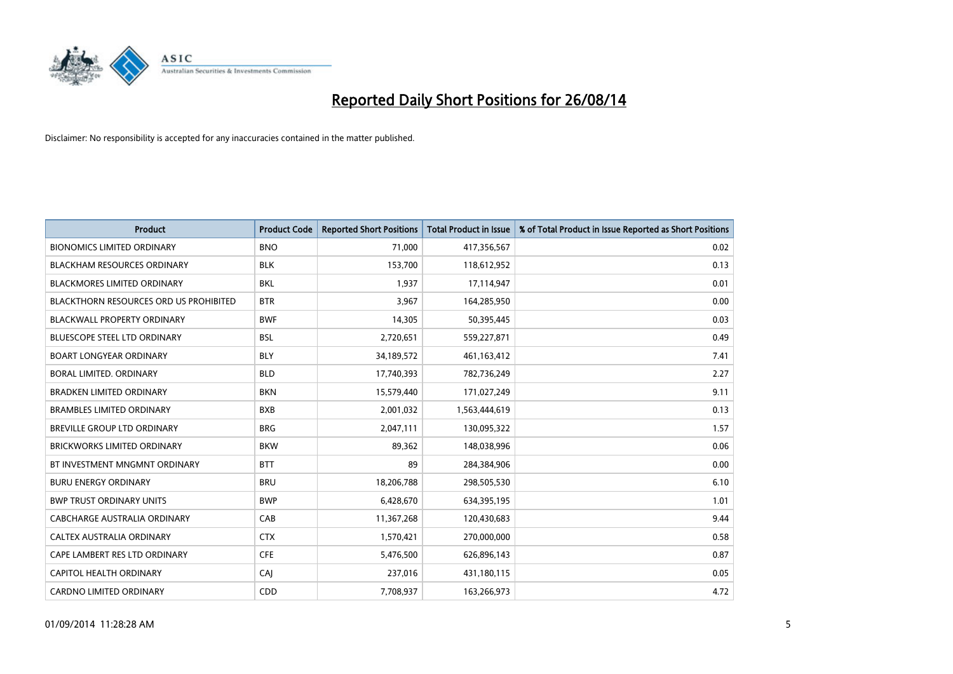

| <b>Product</b>                         | <b>Product Code</b> | <b>Reported Short Positions</b> | <b>Total Product in Issue</b> | % of Total Product in Issue Reported as Short Positions |
|----------------------------------------|---------------------|---------------------------------|-------------------------------|---------------------------------------------------------|
| <b>BIONOMICS LIMITED ORDINARY</b>      | <b>BNO</b>          | 71,000                          | 417,356,567                   | 0.02                                                    |
| <b>BLACKHAM RESOURCES ORDINARY</b>     | <b>BLK</b>          | 153,700                         | 118,612,952                   | 0.13                                                    |
| <b>BLACKMORES LIMITED ORDINARY</b>     | <b>BKL</b>          | 1,937                           | 17,114,947                    | 0.01                                                    |
| BLACKTHORN RESOURCES ORD US PROHIBITED | <b>BTR</b>          | 3,967                           | 164,285,950                   | 0.00                                                    |
| <b>BLACKWALL PROPERTY ORDINARY</b>     | <b>BWF</b>          | 14,305                          | 50,395,445                    | 0.03                                                    |
| <b>BLUESCOPE STEEL LTD ORDINARY</b>    | <b>BSL</b>          | 2,720,651                       | 559,227,871                   | 0.49                                                    |
| <b>BOART LONGYEAR ORDINARY</b>         | <b>BLY</b>          | 34,189,572                      | 461,163,412                   | 7.41                                                    |
| BORAL LIMITED, ORDINARY                | <b>BLD</b>          | 17,740,393                      | 782,736,249                   | 2.27                                                    |
| <b>BRADKEN LIMITED ORDINARY</b>        | <b>BKN</b>          | 15,579,440                      | 171,027,249                   | 9.11                                                    |
| <b>BRAMBLES LIMITED ORDINARY</b>       | <b>BXB</b>          | 2,001,032                       | 1,563,444,619                 | 0.13                                                    |
| BREVILLE GROUP LTD ORDINARY            | <b>BRG</b>          | 2,047,111                       | 130,095,322                   | 1.57                                                    |
| <b>BRICKWORKS LIMITED ORDINARY</b>     | <b>BKW</b>          | 89,362                          | 148,038,996                   | 0.06                                                    |
| BT INVESTMENT MNGMNT ORDINARY          | <b>BTT</b>          | 89                              | 284,384,906                   | 0.00                                                    |
| <b>BURU ENERGY ORDINARY</b>            | <b>BRU</b>          | 18,206,788                      | 298,505,530                   | 6.10                                                    |
| <b>BWP TRUST ORDINARY UNITS</b>        | <b>BWP</b>          | 6,428,670                       | 634,395,195                   | 1.01                                                    |
| CABCHARGE AUSTRALIA ORDINARY           | CAB                 | 11,367,268                      | 120,430,683                   | 9.44                                                    |
| CALTEX AUSTRALIA ORDINARY              | <b>CTX</b>          | 1,570,421                       | 270,000,000                   | 0.58                                                    |
| CAPE LAMBERT RES LTD ORDINARY          | <b>CFE</b>          | 5,476,500                       | 626,896,143                   | 0.87                                                    |
| CAPITOL HEALTH ORDINARY                | CAI                 | 237,016                         | 431,180,115                   | 0.05                                                    |
| <b>CARDNO LIMITED ORDINARY</b>         | CDD                 | 7,708,937                       | 163,266,973                   | 4.72                                                    |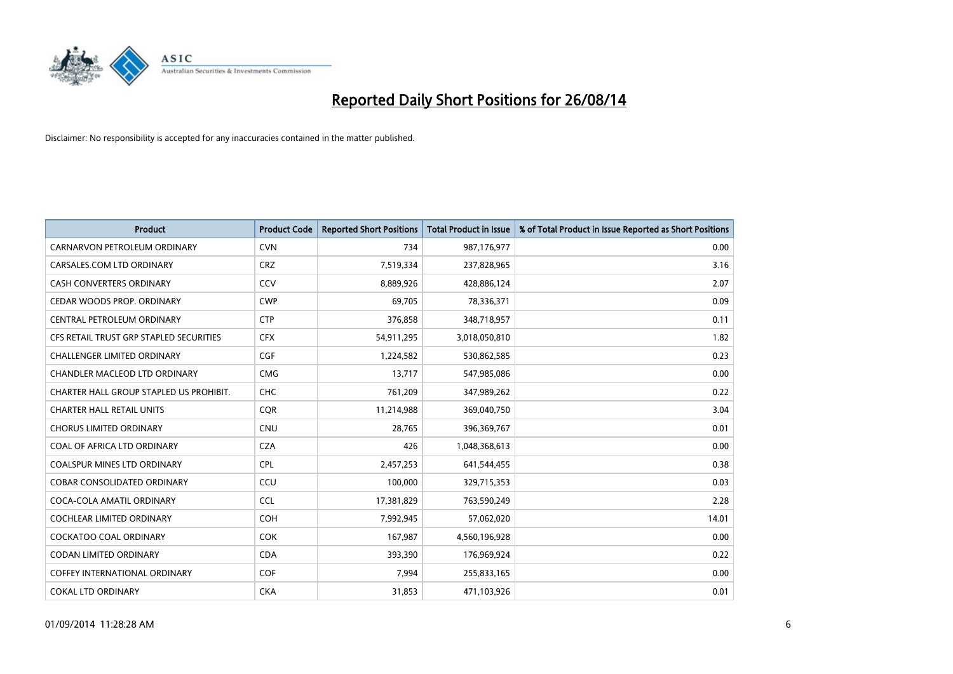

| <b>Product</b>                          | <b>Product Code</b> | <b>Reported Short Positions</b> | <b>Total Product in Issue</b> | % of Total Product in Issue Reported as Short Positions |
|-----------------------------------------|---------------------|---------------------------------|-------------------------------|---------------------------------------------------------|
| CARNARVON PETROLEUM ORDINARY            | <b>CVN</b>          | 734                             | 987,176,977                   | 0.00                                                    |
| CARSALES.COM LTD ORDINARY               | <b>CRZ</b>          | 7,519,334                       | 237,828,965                   | 3.16                                                    |
| <b>CASH CONVERTERS ORDINARY</b>         | CCV                 | 8,889,926                       | 428,886,124                   | 2.07                                                    |
| CEDAR WOODS PROP. ORDINARY              | <b>CWP</b>          | 69,705                          | 78,336,371                    | 0.09                                                    |
| CENTRAL PETROLEUM ORDINARY              | <b>CTP</b>          | 376,858                         | 348,718,957                   | 0.11                                                    |
| CFS RETAIL TRUST GRP STAPLED SECURITIES | <b>CFX</b>          | 54,911,295                      | 3,018,050,810                 | 1.82                                                    |
| <b>CHALLENGER LIMITED ORDINARY</b>      | <b>CGF</b>          | 1,224,582                       | 530,862,585                   | 0.23                                                    |
| CHANDLER MACLEOD LTD ORDINARY           | <b>CMG</b>          | 13,717                          | 547,985,086                   | 0.00                                                    |
| CHARTER HALL GROUP STAPLED US PROHIBIT. | <b>CHC</b>          | 761,209                         | 347,989,262                   | 0.22                                                    |
| <b>CHARTER HALL RETAIL UNITS</b>        | CQR                 | 11,214,988                      | 369,040,750                   | 3.04                                                    |
| <b>CHORUS LIMITED ORDINARY</b>          | <b>CNU</b>          | 28,765                          | 396,369,767                   | 0.01                                                    |
| COAL OF AFRICA LTD ORDINARY             | <b>CZA</b>          | 426                             | 1,048,368,613                 | 0.00                                                    |
| COALSPUR MINES LTD ORDINARY             | <b>CPL</b>          | 2,457,253                       | 641,544,455                   | 0.38                                                    |
| <b>COBAR CONSOLIDATED ORDINARY</b>      | CCU                 | 100,000                         | 329,715,353                   | 0.03                                                    |
| COCA-COLA AMATIL ORDINARY               | <b>CCL</b>          | 17,381,829                      | 763,590,249                   | 2.28                                                    |
| <b>COCHLEAR LIMITED ORDINARY</b>        | <b>COH</b>          | 7,992,945                       | 57,062,020                    | 14.01                                                   |
| COCKATOO COAL ORDINARY                  | <b>COK</b>          | 167,987                         | 4,560,196,928                 | 0.00                                                    |
| CODAN LIMITED ORDINARY                  | <b>CDA</b>          | 393,390                         | 176,969,924                   | 0.22                                                    |
| <b>COFFEY INTERNATIONAL ORDINARY</b>    | <b>COF</b>          | 7,994                           | 255,833,165                   | 0.00                                                    |
| <b>COKAL LTD ORDINARY</b>               | <b>CKA</b>          | 31,853                          | 471,103,926                   | 0.01                                                    |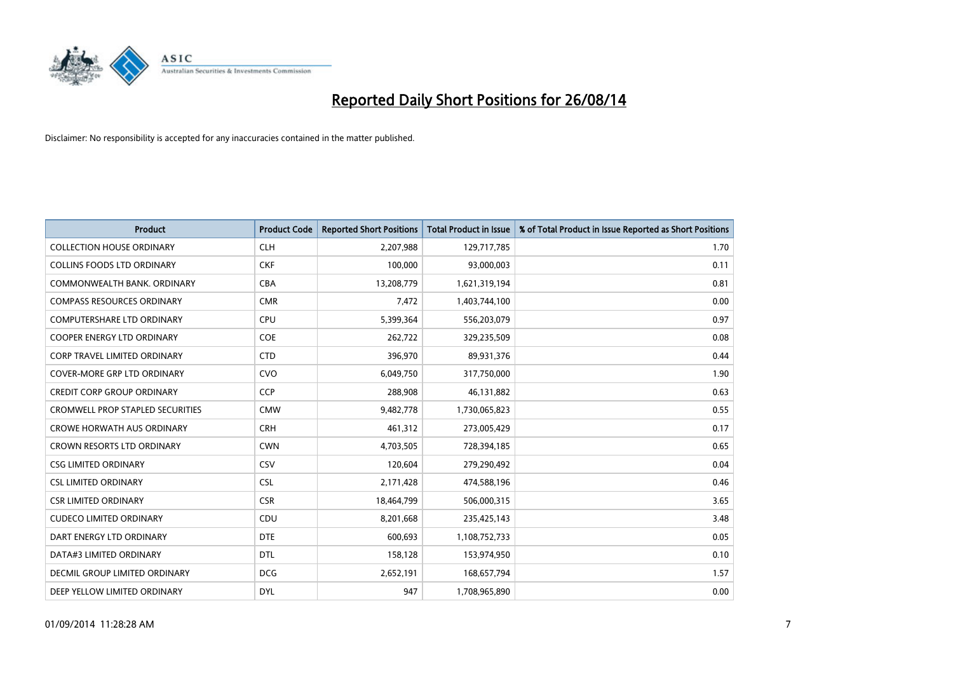

| <b>Product</b>                          | <b>Product Code</b> | <b>Reported Short Positions</b> | <b>Total Product in Issue</b> | % of Total Product in Issue Reported as Short Positions |
|-----------------------------------------|---------------------|---------------------------------|-------------------------------|---------------------------------------------------------|
| <b>COLLECTION HOUSE ORDINARY</b>        | <b>CLH</b>          | 2,207,988                       | 129,717,785                   | 1.70                                                    |
| <b>COLLINS FOODS LTD ORDINARY</b>       | <b>CKF</b>          | 100,000                         | 93,000,003                    | 0.11                                                    |
| COMMONWEALTH BANK, ORDINARY             | <b>CBA</b>          | 13,208,779                      | 1,621,319,194                 | 0.81                                                    |
| <b>COMPASS RESOURCES ORDINARY</b>       | <b>CMR</b>          | 7,472                           | 1,403,744,100                 | 0.00                                                    |
| <b>COMPUTERSHARE LTD ORDINARY</b>       | <b>CPU</b>          | 5,399,364                       | 556,203,079                   | 0.97                                                    |
| <b>COOPER ENERGY LTD ORDINARY</b>       | <b>COE</b>          | 262,722                         | 329,235,509                   | 0.08                                                    |
| <b>CORP TRAVEL LIMITED ORDINARY</b>     | <b>CTD</b>          | 396,970                         | 89,931,376                    | 0.44                                                    |
| COVER-MORE GRP LTD ORDINARY             | <b>CVO</b>          | 6,049,750                       | 317,750,000                   | 1.90                                                    |
| <b>CREDIT CORP GROUP ORDINARY</b>       | <b>CCP</b>          | 288,908                         | 46,131,882                    | 0.63                                                    |
| <b>CROMWELL PROP STAPLED SECURITIES</b> | <b>CMW</b>          | 9,482,778                       | 1,730,065,823                 | 0.55                                                    |
| <b>CROWE HORWATH AUS ORDINARY</b>       | <b>CRH</b>          | 461,312                         | 273,005,429                   | 0.17                                                    |
| <b>CROWN RESORTS LTD ORDINARY</b>       | <b>CWN</b>          | 4,703,505                       | 728,394,185                   | 0.65                                                    |
| <b>CSG LIMITED ORDINARY</b>             | CSV                 | 120,604                         | 279,290,492                   | 0.04                                                    |
| <b>CSL LIMITED ORDINARY</b>             | <b>CSL</b>          | 2,171,428                       | 474,588,196                   | 0.46                                                    |
| <b>CSR LIMITED ORDINARY</b>             | <b>CSR</b>          | 18,464,799                      | 506,000,315                   | 3.65                                                    |
| <b>CUDECO LIMITED ORDINARY</b>          | <b>CDU</b>          | 8,201,668                       | 235,425,143                   | 3.48                                                    |
| DART ENERGY LTD ORDINARY                | <b>DTE</b>          | 600,693                         | 1,108,752,733                 | 0.05                                                    |
| DATA#3 LIMITED ORDINARY                 | DTL                 | 158,128                         | 153,974,950                   | 0.10                                                    |
| DECMIL GROUP LIMITED ORDINARY           | <b>DCG</b>          | 2,652,191                       | 168,657,794                   | 1.57                                                    |
| DEEP YELLOW LIMITED ORDINARY            | <b>DYL</b>          | 947                             | 1,708,965,890                 | 0.00                                                    |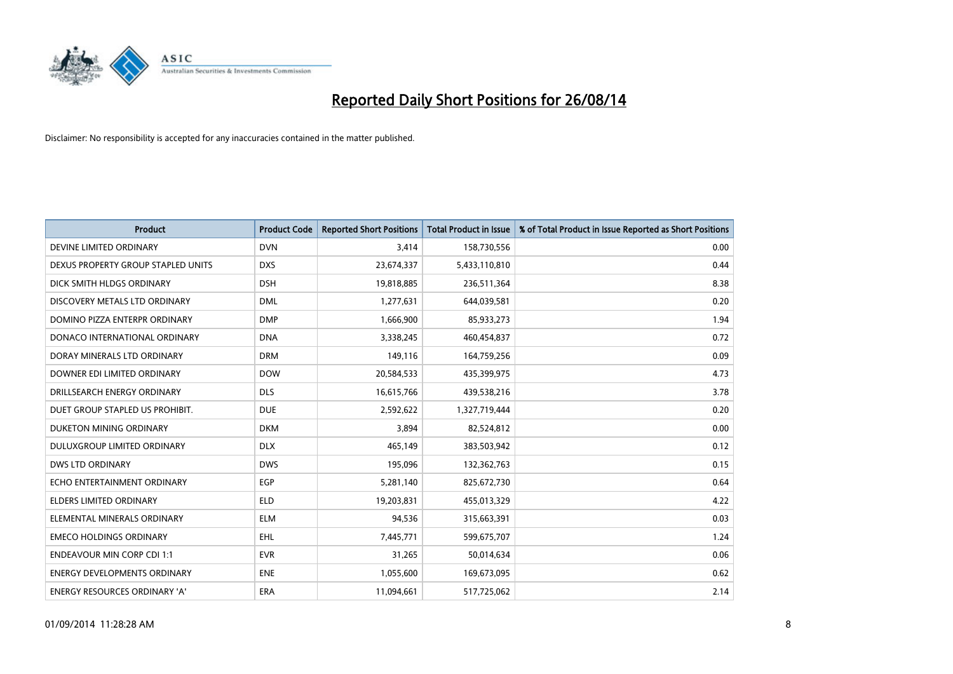

| <b>Product</b>                      | <b>Product Code</b> | <b>Reported Short Positions</b> | <b>Total Product in Issue</b> | % of Total Product in Issue Reported as Short Positions |
|-------------------------------------|---------------------|---------------------------------|-------------------------------|---------------------------------------------------------|
| DEVINE LIMITED ORDINARY             | <b>DVN</b>          | 3,414                           | 158,730,556                   | 0.00                                                    |
| DEXUS PROPERTY GROUP STAPLED UNITS  | <b>DXS</b>          | 23,674,337                      | 5,433,110,810                 | 0.44                                                    |
| DICK SMITH HLDGS ORDINARY           | <b>DSH</b>          | 19,818,885                      | 236,511,364                   | 8.38                                                    |
| DISCOVERY METALS LTD ORDINARY       | <b>DML</b>          | 1,277,631                       | 644,039,581                   | 0.20                                                    |
| DOMINO PIZZA ENTERPR ORDINARY       | <b>DMP</b>          | 1,666,900                       | 85,933,273                    | 1.94                                                    |
| DONACO INTERNATIONAL ORDINARY       | <b>DNA</b>          | 3,338,245                       | 460,454,837                   | 0.72                                                    |
| DORAY MINERALS LTD ORDINARY         | <b>DRM</b>          | 149,116                         | 164,759,256                   | 0.09                                                    |
| DOWNER EDI LIMITED ORDINARY         | <b>DOW</b>          | 20,584,533                      | 435,399,975                   | 4.73                                                    |
| DRILLSEARCH ENERGY ORDINARY         | <b>DLS</b>          | 16,615,766                      | 439,538,216                   | 3.78                                                    |
| DUET GROUP STAPLED US PROHIBIT.     | <b>DUE</b>          | 2,592,622                       | 1,327,719,444                 | 0.20                                                    |
| DUKETON MINING ORDINARY             | <b>DKM</b>          | 3,894                           | 82,524,812                    | 0.00                                                    |
| DULUXGROUP LIMITED ORDINARY         | <b>DLX</b>          | 465,149                         | 383,503,942                   | 0.12                                                    |
| <b>DWS LTD ORDINARY</b>             | <b>DWS</b>          | 195,096                         | 132,362,763                   | 0.15                                                    |
| ECHO ENTERTAINMENT ORDINARY         | <b>EGP</b>          | 5,281,140                       | 825,672,730                   | 0.64                                                    |
| <b>ELDERS LIMITED ORDINARY</b>      | <b>ELD</b>          | 19,203,831                      | 455,013,329                   | 4.22                                                    |
| ELEMENTAL MINERALS ORDINARY         | <b>ELM</b>          | 94,536                          | 315,663,391                   | 0.03                                                    |
| <b>EMECO HOLDINGS ORDINARY</b>      | <b>EHL</b>          | 7,445,771                       | 599,675,707                   | 1.24                                                    |
| <b>ENDEAVOUR MIN CORP CDI 1:1</b>   | <b>EVR</b>          | 31,265                          | 50,014,634                    | 0.06                                                    |
| <b>ENERGY DEVELOPMENTS ORDINARY</b> | <b>ENE</b>          | 1,055,600                       | 169,673,095                   | 0.62                                                    |
| ENERGY RESOURCES ORDINARY 'A'       | ERA                 | 11,094,661                      | 517,725,062                   | 2.14                                                    |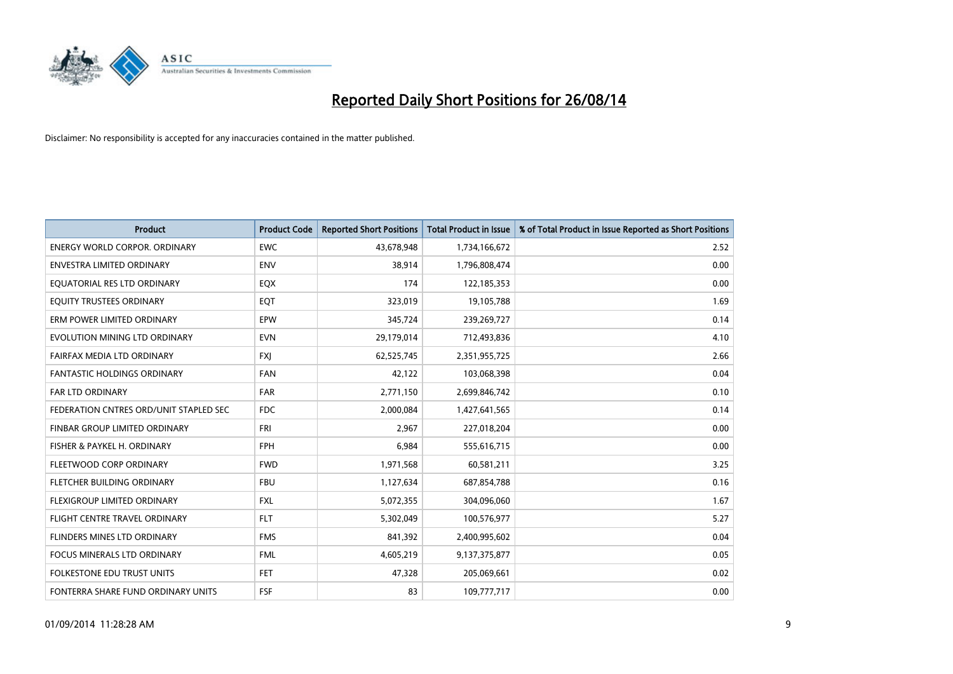

| <b>Product</b>                         | <b>Product Code</b> | <b>Reported Short Positions</b> | <b>Total Product in Issue</b> | % of Total Product in Issue Reported as Short Positions |
|----------------------------------------|---------------------|---------------------------------|-------------------------------|---------------------------------------------------------|
| <b>ENERGY WORLD CORPOR, ORDINARY</b>   | <b>EWC</b>          | 43,678,948                      | 1,734,166,672                 | 2.52                                                    |
| ENVESTRA LIMITED ORDINARY              | <b>ENV</b>          | 38,914                          | 1,796,808,474                 | 0.00                                                    |
| EQUATORIAL RES LTD ORDINARY            | EQX                 | 174                             | 122,185,353                   | 0.00                                                    |
| EQUITY TRUSTEES ORDINARY               | EQT                 | 323,019                         | 19,105,788                    | 1.69                                                    |
| ERM POWER LIMITED ORDINARY             | <b>EPW</b>          | 345,724                         | 239,269,727                   | 0.14                                                    |
| EVOLUTION MINING LTD ORDINARY          | <b>EVN</b>          | 29,179,014                      | 712,493,836                   | 4.10                                                    |
| FAIRFAX MEDIA LTD ORDINARY             | <b>FXJ</b>          | 62,525,745                      | 2,351,955,725                 | 2.66                                                    |
| <b>FANTASTIC HOLDINGS ORDINARY</b>     | <b>FAN</b>          | 42,122                          | 103,068,398                   | 0.04                                                    |
| FAR LTD ORDINARY                       | FAR                 | 2,771,150                       | 2,699,846,742                 | 0.10                                                    |
| FEDERATION CNTRES ORD/UNIT STAPLED SEC | FDC.                | 2,000,084                       | 1,427,641,565                 | 0.14                                                    |
| FINBAR GROUP LIMITED ORDINARY          | FRI                 | 2,967                           | 227,018,204                   | 0.00                                                    |
| FISHER & PAYKEL H. ORDINARY            | <b>FPH</b>          | 6,984                           | 555,616,715                   | 0.00                                                    |
| FLEETWOOD CORP ORDINARY                | <b>FWD</b>          | 1,971,568                       | 60,581,211                    | 3.25                                                    |
| FLETCHER BUILDING ORDINARY             | <b>FBU</b>          | 1,127,634                       | 687,854,788                   | 0.16                                                    |
| FLEXIGROUP LIMITED ORDINARY            | <b>FXL</b>          | 5,072,355                       | 304,096,060                   | 1.67                                                    |
| FLIGHT CENTRE TRAVEL ORDINARY          | <b>FLT</b>          | 5,302,049                       | 100,576,977                   | 5.27                                                    |
| FLINDERS MINES LTD ORDINARY            | <b>FMS</b>          | 841,392                         | 2,400,995,602                 | 0.04                                                    |
| FOCUS MINERALS LTD ORDINARY            | <b>FML</b>          | 4,605,219                       | 9,137,375,877                 | 0.05                                                    |
| <b>FOLKESTONE EDU TRUST UNITS</b>      | <b>FET</b>          | 47,328                          | 205,069,661                   | 0.02                                                    |
| FONTERRA SHARE FUND ORDINARY UNITS     | <b>FSF</b>          | 83                              | 109,777,717                   | 0.00                                                    |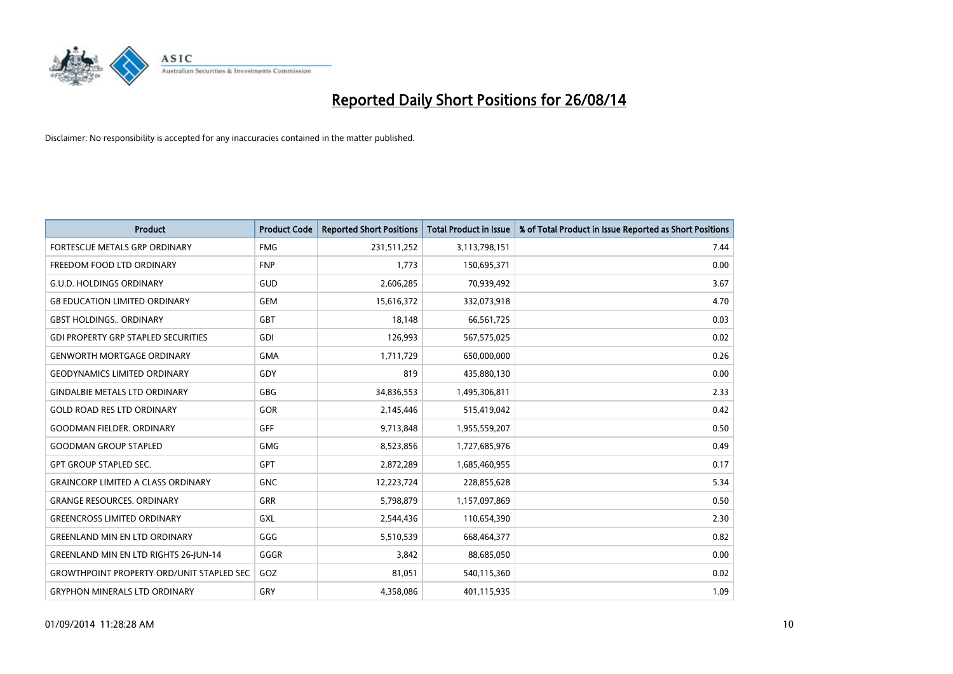

| <b>Product</b>                                   | <b>Product Code</b> | <b>Reported Short Positions</b> | <b>Total Product in Issue</b> | % of Total Product in Issue Reported as Short Positions |
|--------------------------------------------------|---------------------|---------------------------------|-------------------------------|---------------------------------------------------------|
| <b>FORTESCUE METALS GRP ORDINARY</b>             | <b>FMG</b>          | 231,511,252                     | 3,113,798,151                 | 7.44                                                    |
| FREEDOM FOOD LTD ORDINARY                        | <b>FNP</b>          | 1,773                           | 150,695,371                   | 0.00                                                    |
| <b>G.U.D. HOLDINGS ORDINARY</b>                  | GUD                 | 2,606,285                       | 70,939,492                    | 3.67                                                    |
| <b>G8 EDUCATION LIMITED ORDINARY</b>             | <b>GEM</b>          | 15,616,372                      | 332,073,918                   | 4.70                                                    |
| <b>GBST HOLDINGS., ORDINARY</b>                  | GBT                 | 18,148                          | 66,561,725                    | 0.03                                                    |
| <b>GDI PROPERTY GRP STAPLED SECURITIES</b>       | <b>GDI</b>          | 126,993                         | 567,575,025                   | 0.02                                                    |
| <b>GENWORTH MORTGAGE ORDINARY</b>                | <b>GMA</b>          | 1,711,729                       | 650,000,000                   | 0.26                                                    |
| <b>GEODYNAMICS LIMITED ORDINARY</b>              | GDY                 | 819                             | 435,880,130                   | 0.00                                                    |
| <b>GINDALBIE METALS LTD ORDINARY</b>             | GBG                 | 34,836,553                      | 1,495,306,811                 | 2.33                                                    |
| <b>GOLD ROAD RES LTD ORDINARY</b>                | GOR                 | 2,145,446                       | 515,419,042                   | 0.42                                                    |
| <b>GOODMAN FIELDER. ORDINARY</b>                 | <b>GFF</b>          | 9,713,848                       | 1,955,559,207                 | 0.50                                                    |
| <b>GOODMAN GROUP STAPLED</b>                     | <b>GMG</b>          | 8,523,856                       | 1,727,685,976                 | 0.49                                                    |
| <b>GPT GROUP STAPLED SEC.</b>                    | GPT                 | 2,872,289                       | 1,685,460,955                 | 0.17                                                    |
| <b>GRAINCORP LIMITED A CLASS ORDINARY</b>        | <b>GNC</b>          | 12,223,724                      | 228,855,628                   | 5.34                                                    |
| <b>GRANGE RESOURCES, ORDINARY</b>                | GRR                 | 5,798,879                       | 1,157,097,869                 | 0.50                                                    |
| <b>GREENCROSS LIMITED ORDINARY</b>               | GXL                 | 2,544,436                       | 110,654,390                   | 2.30                                                    |
| <b>GREENLAND MIN EN LTD ORDINARY</b>             | GGG                 | 5,510,539                       | 668,464,377                   | 0.82                                                    |
| GREENLAND MIN EN LTD RIGHTS 26-JUN-14            | GGGR                | 3,842                           | 88,685,050                    | 0.00                                                    |
| <b>GROWTHPOINT PROPERTY ORD/UNIT STAPLED SEC</b> | GOZ                 | 81,051                          | 540,115,360                   | 0.02                                                    |
| <b>GRYPHON MINERALS LTD ORDINARY</b>             | GRY                 | 4,358,086                       | 401,115,935                   | 1.09                                                    |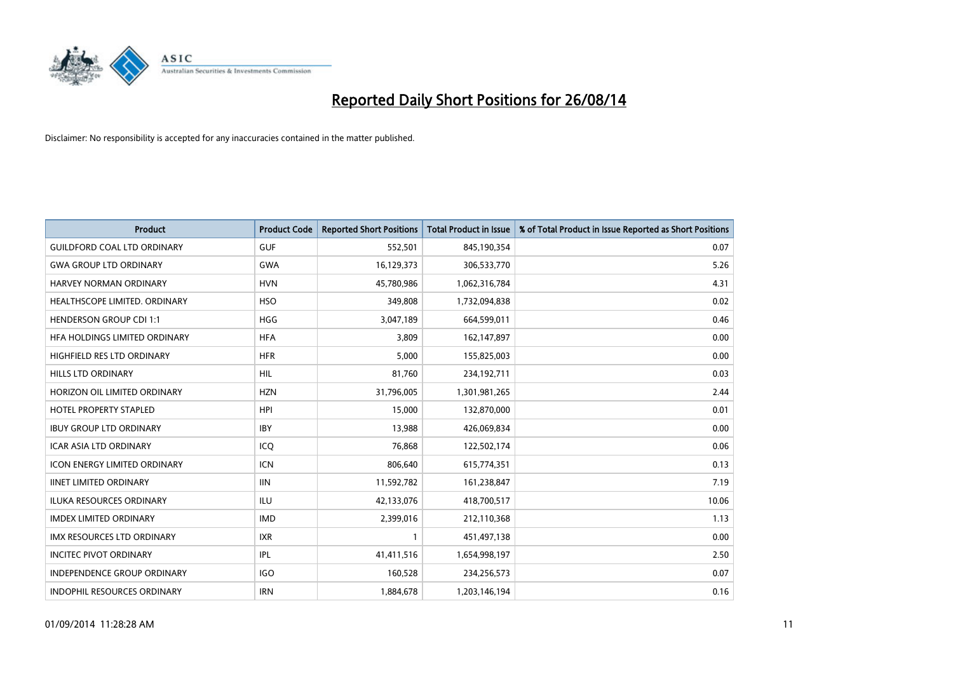

| <b>Product</b>                       | <b>Product Code</b> | <b>Reported Short Positions</b> | <b>Total Product in Issue</b> | % of Total Product in Issue Reported as Short Positions |
|--------------------------------------|---------------------|---------------------------------|-------------------------------|---------------------------------------------------------|
| <b>GUILDFORD COAL LTD ORDINARY</b>   | <b>GUF</b>          | 552,501                         | 845,190,354                   | 0.07                                                    |
| <b>GWA GROUP LTD ORDINARY</b>        | <b>GWA</b>          | 16,129,373                      | 306,533,770                   | 5.26                                                    |
| <b>HARVEY NORMAN ORDINARY</b>        | <b>HVN</b>          | 45,780,986                      | 1,062,316,784                 | 4.31                                                    |
| HEALTHSCOPE LIMITED. ORDINARY        | <b>HSO</b>          | 349,808                         | 1,732,094,838                 | 0.02                                                    |
| <b>HENDERSON GROUP CDI 1:1</b>       | <b>HGG</b>          | 3,047,189                       | 664,599,011                   | 0.46                                                    |
| <b>HFA HOLDINGS LIMITED ORDINARY</b> | <b>HFA</b>          | 3,809                           | 162,147,897                   | 0.00                                                    |
| <b>HIGHFIELD RES LTD ORDINARY</b>    | <b>HFR</b>          | 5,000                           | 155,825,003                   | 0.00                                                    |
| HILLS LTD ORDINARY                   | HIL                 | 81,760                          | 234,192,711                   | 0.03                                                    |
| HORIZON OIL LIMITED ORDINARY         | <b>HZN</b>          | 31,796,005                      | 1,301,981,265                 | 2.44                                                    |
| HOTEL PROPERTY STAPLED               | <b>HPI</b>          | 15,000                          | 132,870,000                   | 0.01                                                    |
| <b>IBUY GROUP LTD ORDINARY</b>       | <b>IBY</b>          | 13,988                          | 426,069,834                   | 0.00                                                    |
| <b>ICAR ASIA LTD ORDINARY</b>        | ICQ                 | 76,868                          | 122,502,174                   | 0.06                                                    |
| ICON ENERGY LIMITED ORDINARY         | <b>ICN</b>          | 806,640                         | 615,774,351                   | 0.13                                                    |
| <b>IINET LIMITED ORDINARY</b>        | <b>IIN</b>          | 11,592,782                      | 161,238,847                   | 7.19                                                    |
| <b>ILUKA RESOURCES ORDINARY</b>      | <b>ILU</b>          | 42,133,076                      | 418,700,517                   | 10.06                                                   |
| <b>IMDEX LIMITED ORDINARY</b>        | <b>IMD</b>          | 2,399,016                       | 212,110,368                   | 1.13                                                    |
| <b>IMX RESOURCES LTD ORDINARY</b>    | <b>IXR</b>          | $\mathbf{1}$                    | 451,497,138                   | 0.00                                                    |
| <b>INCITEC PIVOT ORDINARY</b>        | IPL                 | 41,411,516                      | 1,654,998,197                 | 2.50                                                    |
| <b>INDEPENDENCE GROUP ORDINARY</b>   | <b>IGO</b>          | 160,528                         | 234,256,573                   | 0.07                                                    |
| <b>INDOPHIL RESOURCES ORDINARY</b>   | <b>IRN</b>          | 1,884,678                       | 1,203,146,194                 | 0.16                                                    |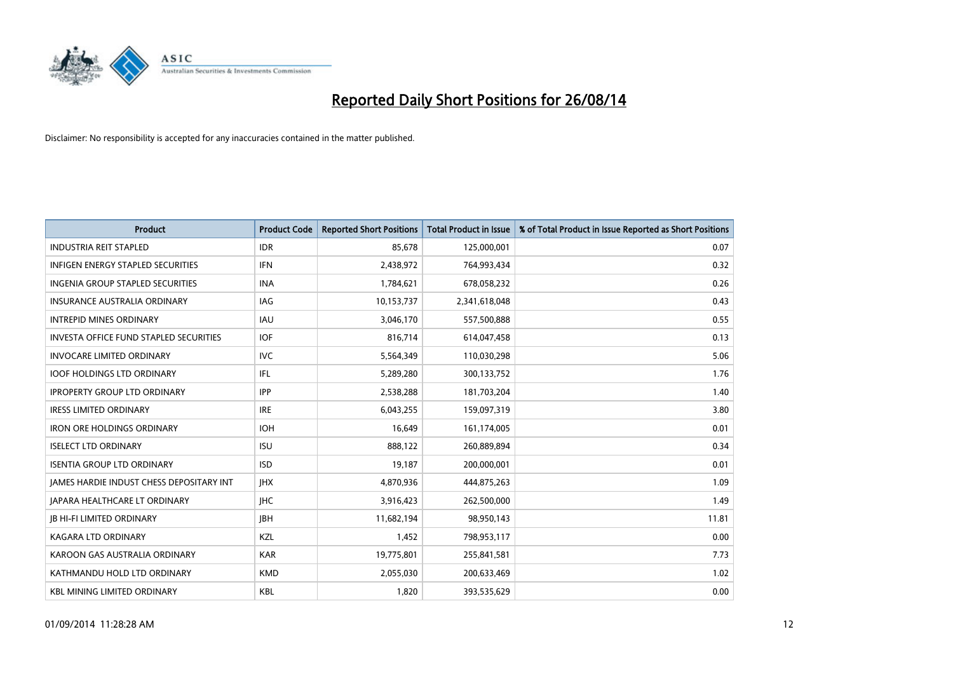

| <b>Product</b>                                | <b>Product Code</b> | <b>Reported Short Positions</b> | <b>Total Product in Issue</b> | % of Total Product in Issue Reported as Short Positions |
|-----------------------------------------------|---------------------|---------------------------------|-------------------------------|---------------------------------------------------------|
| <b>INDUSTRIA REIT STAPLED</b>                 | <b>IDR</b>          | 85,678                          | 125,000,001                   | 0.07                                                    |
| INFIGEN ENERGY STAPLED SECURITIES             | <b>IFN</b>          | 2,438,972                       | 764,993,434                   | 0.32                                                    |
| <b>INGENIA GROUP STAPLED SECURITIES</b>       | <b>INA</b>          | 1,784,621                       | 678,058,232                   | 0.26                                                    |
| INSURANCE AUSTRALIA ORDINARY                  | IAG                 | 10,153,737                      | 2,341,618,048                 | 0.43                                                    |
| <b>INTREPID MINES ORDINARY</b>                | <b>IAU</b>          | 3,046,170                       | 557,500,888                   | 0.55                                                    |
| <b>INVESTA OFFICE FUND STAPLED SECURITIES</b> | <b>IOF</b>          | 816,714                         | 614,047,458                   | 0.13                                                    |
| <b>INVOCARE LIMITED ORDINARY</b>              | <b>IVC</b>          | 5,564,349                       | 110,030,298                   | 5.06                                                    |
| <b>IOOF HOLDINGS LTD ORDINARY</b>             | IFL                 | 5,289,280                       | 300,133,752                   | 1.76                                                    |
| <b>IPROPERTY GROUP LTD ORDINARY</b>           | <b>IPP</b>          | 2,538,288                       | 181,703,204                   | 1.40                                                    |
| <b>IRESS LIMITED ORDINARY</b>                 | <b>IRE</b>          | 6,043,255                       | 159,097,319                   | 3.80                                                    |
| <b>IRON ORE HOLDINGS ORDINARY</b>             | <b>IOH</b>          | 16,649                          | 161,174,005                   | 0.01                                                    |
| <b>ISELECT LTD ORDINARY</b>                   | <b>ISU</b>          | 888,122                         | 260,889,894                   | 0.34                                                    |
| <b>ISENTIA GROUP LTD ORDINARY</b>             | <b>ISD</b>          | 19,187                          | 200,000,001                   | 0.01                                                    |
| JAMES HARDIE INDUST CHESS DEPOSITARY INT      | <b>JHX</b>          | 4,870,936                       | 444,875,263                   | 1.09                                                    |
| <b>JAPARA HEALTHCARE LT ORDINARY</b>          | <b>IHC</b>          | 3,916,423                       | 262,500,000                   | 1.49                                                    |
| <b>JB HI-FI LIMITED ORDINARY</b>              | <b>JBH</b>          | 11,682,194                      | 98,950,143                    | 11.81                                                   |
| <b>KAGARA LTD ORDINARY</b>                    | KZL                 | 1,452                           | 798,953,117                   | 0.00                                                    |
| KAROON GAS AUSTRALIA ORDINARY                 | <b>KAR</b>          | 19,775,801                      | 255,841,581                   | 7.73                                                    |
| KATHMANDU HOLD LTD ORDINARY                   | <b>KMD</b>          | 2,055,030                       | 200,633,469                   | 1.02                                                    |
| <b>KBL MINING LIMITED ORDINARY</b>            | <b>KBL</b>          | 1,820                           | 393,535,629                   | 0.00                                                    |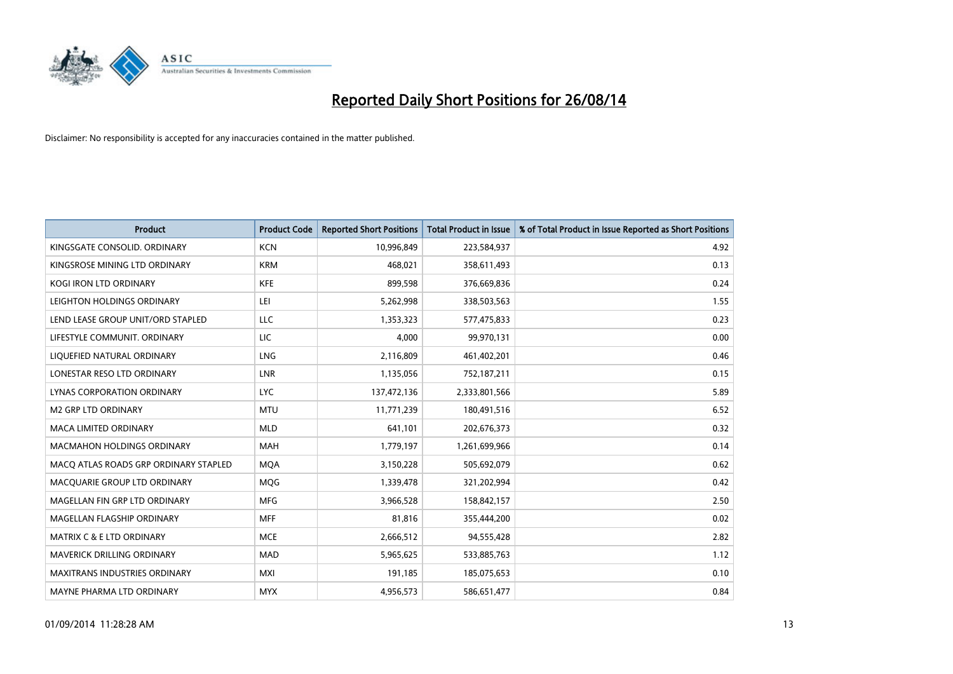

| <b>Product</b>                        | <b>Product Code</b> | <b>Reported Short Positions</b> | <b>Total Product in Issue</b> | % of Total Product in Issue Reported as Short Positions |
|---------------------------------------|---------------------|---------------------------------|-------------------------------|---------------------------------------------------------|
| KINGSGATE CONSOLID. ORDINARY          | <b>KCN</b>          | 10,996,849                      | 223,584,937                   | 4.92                                                    |
| KINGSROSE MINING LTD ORDINARY         | <b>KRM</b>          | 468,021                         | 358,611,493                   | 0.13                                                    |
| <b>KOGI IRON LTD ORDINARY</b>         | <b>KFE</b>          | 899,598                         | 376,669,836                   | 0.24                                                    |
| LEIGHTON HOLDINGS ORDINARY            | LEI                 | 5,262,998                       | 338,503,563                   | 1.55                                                    |
| LEND LEASE GROUP UNIT/ORD STAPLED     | LLC                 | 1,353,323                       | 577,475,833                   | 0.23                                                    |
| LIFESTYLE COMMUNIT, ORDINARY          | <b>LIC</b>          | 4,000                           | 99,970,131                    | 0.00                                                    |
| LIQUEFIED NATURAL ORDINARY            | <b>LNG</b>          | 2,116,809                       | 461,402,201                   | 0.46                                                    |
| LONESTAR RESO LTD ORDINARY            | <b>LNR</b>          | 1,135,056                       | 752,187,211                   | 0.15                                                    |
| LYNAS CORPORATION ORDINARY            | <b>LYC</b>          | 137,472,136                     | 2,333,801,566                 | 5.89                                                    |
| <b>M2 GRP LTD ORDINARY</b>            | <b>MTU</b>          | 11,771,239                      | 180,491,516                   | 6.52                                                    |
| <b>MACA LIMITED ORDINARY</b>          | <b>MLD</b>          | 641,101                         | 202,676,373                   | 0.32                                                    |
| MACMAHON HOLDINGS ORDINARY            | MAH                 | 1,779,197                       | 1,261,699,966                 | 0.14                                                    |
| MACO ATLAS ROADS GRP ORDINARY STAPLED | <b>MOA</b>          | 3,150,228                       | 505,692,079                   | 0.62                                                    |
| MACQUARIE GROUP LTD ORDINARY          | <b>MQG</b>          | 1,339,478                       | 321,202,994                   | 0.42                                                    |
| MAGELLAN FIN GRP LTD ORDINARY         | <b>MFG</b>          | 3,966,528                       | 158,842,157                   | 2.50                                                    |
| MAGELLAN FLAGSHIP ORDINARY            | <b>MFF</b>          | 81,816                          | 355,444,200                   | 0.02                                                    |
| <b>MATRIX C &amp; E LTD ORDINARY</b>  | <b>MCE</b>          | 2,666,512                       | 94,555,428                    | 2.82                                                    |
| MAVERICK DRILLING ORDINARY            | <b>MAD</b>          | 5,965,625                       | 533,885,763                   | 1.12                                                    |
| <b>MAXITRANS INDUSTRIES ORDINARY</b>  | <b>MXI</b>          | 191,185                         | 185,075,653                   | 0.10                                                    |
| MAYNE PHARMA LTD ORDINARY             | <b>MYX</b>          | 4,956,573                       | 586,651,477                   | 0.84                                                    |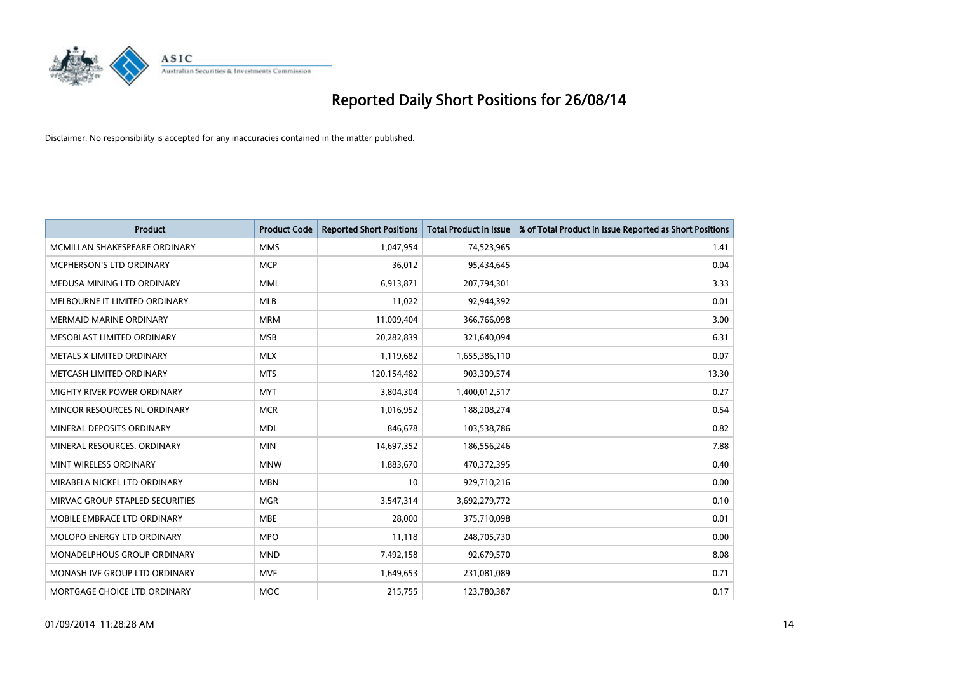

| <b>Product</b>                  | <b>Product Code</b> | <b>Reported Short Positions</b> | <b>Total Product in Issue</b> | % of Total Product in Issue Reported as Short Positions |
|---------------------------------|---------------------|---------------------------------|-------------------------------|---------------------------------------------------------|
| MCMILLAN SHAKESPEARE ORDINARY   | <b>MMS</b>          | 1,047,954                       | 74,523,965                    | 1.41                                                    |
| MCPHERSON'S LTD ORDINARY        | <b>MCP</b>          | 36,012                          | 95,434,645                    | 0.04                                                    |
| MEDUSA MINING LTD ORDINARY      | <b>MML</b>          | 6,913,871                       | 207,794,301                   | 3.33                                                    |
| MELBOURNE IT LIMITED ORDINARY   | <b>MLB</b>          | 11,022                          | 92,944,392                    | 0.01                                                    |
| <b>MERMAID MARINE ORDINARY</b>  | <b>MRM</b>          | 11,009,404                      | 366,766,098                   | 3.00                                                    |
| MESOBLAST LIMITED ORDINARY      | <b>MSB</b>          | 20,282,839                      | 321,640,094                   | 6.31                                                    |
| METALS X LIMITED ORDINARY       | <b>MLX</b>          | 1,119,682                       | 1,655,386,110                 | 0.07                                                    |
| METCASH LIMITED ORDINARY        | <b>MTS</b>          | 120,154,482                     | 903,309,574                   | 13.30                                                   |
| MIGHTY RIVER POWER ORDINARY     | <b>MYT</b>          | 3,804,304                       | 1,400,012,517                 | 0.27                                                    |
| MINCOR RESOURCES NL ORDINARY    | <b>MCR</b>          | 1,016,952                       | 188,208,274                   | 0.54                                                    |
| MINERAL DEPOSITS ORDINARY       | <b>MDL</b>          | 846,678                         | 103,538,786                   | 0.82                                                    |
| MINERAL RESOURCES, ORDINARY     | <b>MIN</b>          | 14,697,352                      | 186,556,246                   | 7.88                                                    |
| MINT WIRELESS ORDINARY          | <b>MNW</b>          | 1,883,670                       | 470,372,395                   | 0.40                                                    |
| MIRABELA NICKEL LTD ORDINARY    | <b>MBN</b>          | 10                              | 929,710,216                   | 0.00                                                    |
| MIRVAC GROUP STAPLED SECURITIES | <b>MGR</b>          | 3,547,314                       | 3,692,279,772                 | 0.10                                                    |
| MOBILE EMBRACE LTD ORDINARY     | <b>MBE</b>          | 28,000                          | 375,710,098                   | 0.01                                                    |
| MOLOPO ENERGY LTD ORDINARY      | <b>MPO</b>          | 11,118                          | 248,705,730                   | 0.00                                                    |
| MONADELPHOUS GROUP ORDINARY     | <b>MND</b>          | 7,492,158                       | 92,679,570                    | 8.08                                                    |
| MONASH IVF GROUP LTD ORDINARY   | MVF                 | 1,649,653                       | 231,081,089                   | 0.71                                                    |
| MORTGAGE CHOICE LTD ORDINARY    | <b>MOC</b>          | 215,755                         | 123,780,387                   | 0.17                                                    |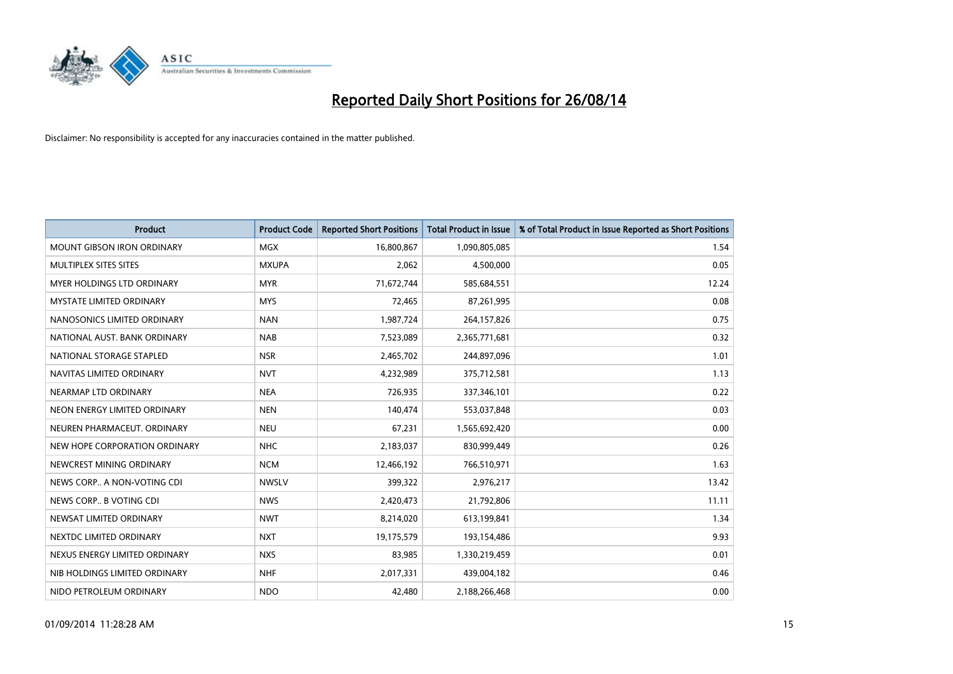

| <b>Product</b>                    | <b>Product Code</b> | <b>Reported Short Positions</b> | <b>Total Product in Issue</b> | % of Total Product in Issue Reported as Short Positions |
|-----------------------------------|---------------------|---------------------------------|-------------------------------|---------------------------------------------------------|
| <b>MOUNT GIBSON IRON ORDINARY</b> | <b>MGX</b>          | 16,800,867                      | 1,090,805,085                 | 1.54                                                    |
| MULTIPLEX SITES SITES             | <b>MXUPA</b>        | 2,062                           | 4,500,000                     | 0.05                                                    |
| MYER HOLDINGS LTD ORDINARY        | <b>MYR</b>          | 71,672,744                      | 585,684,551                   | 12.24                                                   |
| <b>MYSTATE LIMITED ORDINARY</b>   | <b>MYS</b>          | 72,465                          | 87,261,995                    | 0.08                                                    |
| NANOSONICS LIMITED ORDINARY       | <b>NAN</b>          | 1,987,724                       | 264,157,826                   | 0.75                                                    |
| NATIONAL AUST. BANK ORDINARY      | <b>NAB</b>          | 7,523,089                       | 2,365,771,681                 | 0.32                                                    |
| NATIONAL STORAGE STAPLED          | <b>NSR</b>          | 2,465,702                       | 244,897,096                   | 1.01                                                    |
| NAVITAS LIMITED ORDINARY          | <b>NVT</b>          | 4,232,989                       | 375,712,581                   | 1.13                                                    |
| NEARMAP LTD ORDINARY              | <b>NEA</b>          | 726,935                         | 337,346,101                   | 0.22                                                    |
| NEON ENERGY LIMITED ORDINARY      | <b>NEN</b>          | 140,474                         | 553,037,848                   | 0.03                                                    |
| NEUREN PHARMACEUT. ORDINARY       | <b>NEU</b>          | 67,231                          | 1,565,692,420                 | 0.00                                                    |
| NEW HOPE CORPORATION ORDINARY     | <b>NHC</b>          | 2,183,037                       | 830,999,449                   | 0.26                                                    |
| NEWCREST MINING ORDINARY          | <b>NCM</b>          | 12,466,192                      | 766,510,971                   | 1.63                                                    |
| NEWS CORP A NON-VOTING CDI        | <b>NWSLV</b>        | 399,322                         | 2,976,217                     | 13.42                                                   |
| NEWS CORP B VOTING CDI            | <b>NWS</b>          | 2,420,473                       | 21,792,806                    | 11.11                                                   |
| NEWSAT LIMITED ORDINARY           | <b>NWT</b>          | 8,214,020                       | 613,199,841                   | 1.34                                                    |
| NEXTDC LIMITED ORDINARY           | <b>NXT</b>          | 19,175,579                      | 193,154,486                   | 9.93                                                    |
| NEXUS ENERGY LIMITED ORDINARY     | <b>NXS</b>          | 83,985                          | 1,330,219,459                 | 0.01                                                    |
| NIB HOLDINGS LIMITED ORDINARY     | <b>NHF</b>          | 2,017,331                       | 439,004,182                   | 0.46                                                    |
| NIDO PETROLEUM ORDINARY           | <b>NDO</b>          | 42,480                          | 2,188,266,468                 | 0.00                                                    |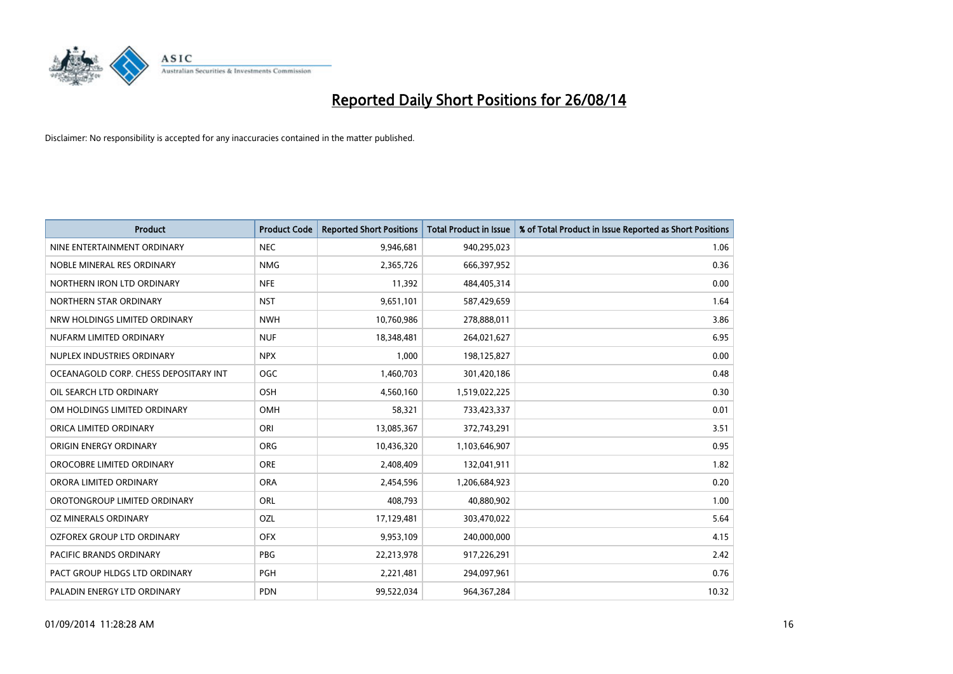

| <b>Product</b>                        | <b>Product Code</b> | <b>Reported Short Positions</b> | <b>Total Product in Issue</b> | % of Total Product in Issue Reported as Short Positions |
|---------------------------------------|---------------------|---------------------------------|-------------------------------|---------------------------------------------------------|
| NINE ENTERTAINMENT ORDINARY           | <b>NEC</b>          | 9,946,681                       | 940,295,023                   | 1.06                                                    |
| NOBLE MINERAL RES ORDINARY            | <b>NMG</b>          | 2,365,726                       | 666,397,952                   | 0.36                                                    |
| NORTHERN IRON LTD ORDINARY            | <b>NFE</b>          | 11,392                          | 484,405,314                   | 0.00                                                    |
| NORTHERN STAR ORDINARY                | <b>NST</b>          | 9,651,101                       | 587,429,659                   | 1.64                                                    |
| NRW HOLDINGS LIMITED ORDINARY         | <b>NWH</b>          | 10,760,986                      | 278,888,011                   | 3.86                                                    |
| NUFARM LIMITED ORDINARY               | <b>NUF</b>          | 18,348,481                      | 264,021,627                   | 6.95                                                    |
| NUPLEX INDUSTRIES ORDINARY            | <b>NPX</b>          | 1,000                           | 198,125,827                   | 0.00                                                    |
| OCEANAGOLD CORP. CHESS DEPOSITARY INT | <b>OGC</b>          | 1,460,703                       | 301,420,186                   | 0.48                                                    |
| OIL SEARCH LTD ORDINARY               | OSH                 | 4,560,160                       | 1,519,022,225                 | 0.30                                                    |
| OM HOLDINGS LIMITED ORDINARY          | <b>OMH</b>          | 58,321                          | 733,423,337                   | 0.01                                                    |
| ORICA LIMITED ORDINARY                | ORI                 | 13,085,367                      | 372,743,291                   | 3.51                                                    |
| ORIGIN ENERGY ORDINARY                | <b>ORG</b>          | 10,436,320                      | 1,103,646,907                 | 0.95                                                    |
| OROCOBRE LIMITED ORDINARY             | <b>ORE</b>          | 2,408,409                       | 132,041,911                   | 1.82                                                    |
| ORORA LIMITED ORDINARY                | <b>ORA</b>          | 2,454,596                       | 1,206,684,923                 | 0.20                                                    |
| OROTONGROUP LIMITED ORDINARY          | ORL                 | 408,793                         | 40,880,902                    | 1.00                                                    |
| OZ MINERALS ORDINARY                  | OZL                 | 17,129,481                      | 303,470,022                   | 5.64                                                    |
| OZFOREX GROUP LTD ORDINARY            | <b>OFX</b>          | 9,953,109                       | 240,000,000                   | 4.15                                                    |
| <b>PACIFIC BRANDS ORDINARY</b>        | <b>PBG</b>          | 22,213,978                      | 917,226,291                   | 2.42                                                    |
| PACT GROUP HLDGS LTD ORDINARY         | <b>PGH</b>          | 2,221,481                       | 294,097,961                   | 0.76                                                    |
| PALADIN ENERGY LTD ORDINARY           | <b>PDN</b>          | 99,522,034                      | 964, 367, 284                 | 10.32                                                   |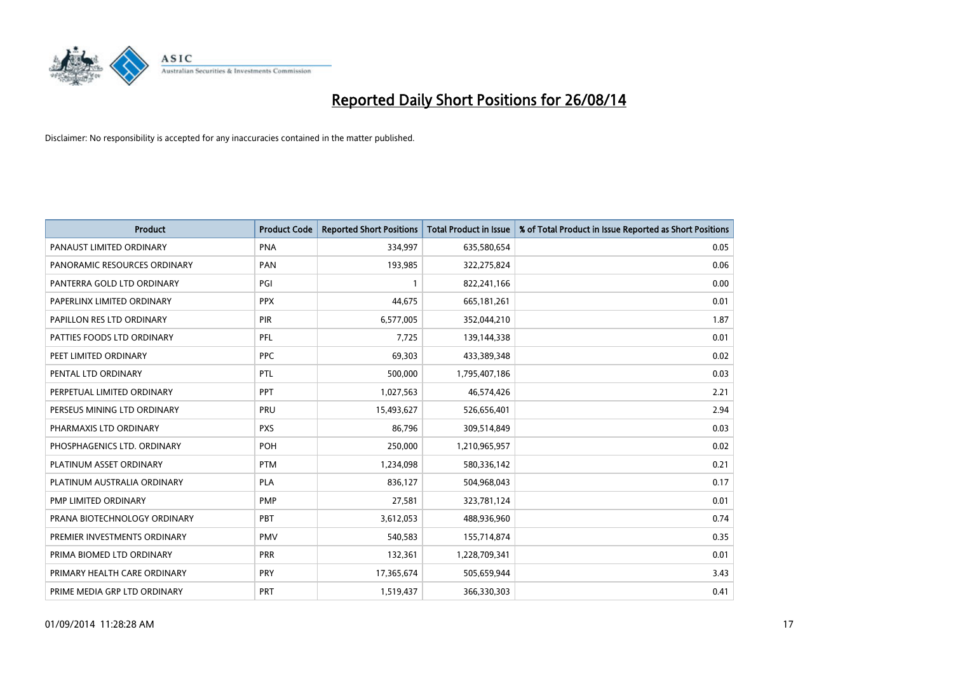

| <b>Product</b>               | <b>Product Code</b> | <b>Reported Short Positions</b> | <b>Total Product in Issue</b> | % of Total Product in Issue Reported as Short Positions |
|------------------------------|---------------------|---------------------------------|-------------------------------|---------------------------------------------------------|
| PANAUST LIMITED ORDINARY     | <b>PNA</b>          | 334,997                         | 635,580,654                   | 0.05                                                    |
| PANORAMIC RESOURCES ORDINARY | <b>PAN</b>          | 193,985                         | 322,275,824                   | 0.06                                                    |
| PANTERRA GOLD LTD ORDINARY   | PGI                 | $\mathbf{1}$                    | 822,241,166                   | 0.00                                                    |
| PAPERLINX LIMITED ORDINARY   | <b>PPX</b>          | 44,675                          | 665, 181, 261                 | 0.01                                                    |
| PAPILLON RES LTD ORDINARY    | PIR                 | 6,577,005                       | 352,044,210                   | 1.87                                                    |
| PATTIES FOODS LTD ORDINARY   | PFL                 | 7,725                           | 139,144,338                   | 0.01                                                    |
| PEET LIMITED ORDINARY        | <b>PPC</b>          | 69,303                          | 433,389,348                   | 0.02                                                    |
| PENTAL LTD ORDINARY          | PTL                 | 500,000                         | 1,795,407,186                 | 0.03                                                    |
| PERPETUAL LIMITED ORDINARY   | PPT                 | 1,027,563                       | 46,574,426                    | 2.21                                                    |
| PERSEUS MINING LTD ORDINARY  | <b>PRU</b>          | 15,493,627                      | 526,656,401                   | 2.94                                                    |
| PHARMAXIS LTD ORDINARY       | <b>PXS</b>          | 86,796                          | 309,514,849                   | 0.03                                                    |
| PHOSPHAGENICS LTD. ORDINARY  | POH                 | 250,000                         | 1,210,965,957                 | 0.02                                                    |
| PLATINUM ASSET ORDINARY      | <b>PTM</b>          | 1,234,098                       | 580,336,142                   | 0.21                                                    |
| PLATINUM AUSTRALIA ORDINARY  | <b>PLA</b>          | 836,127                         | 504,968,043                   | 0.17                                                    |
| PMP LIMITED ORDINARY         | <b>PMP</b>          | 27,581                          | 323,781,124                   | 0.01                                                    |
| PRANA BIOTECHNOLOGY ORDINARY | <b>PBT</b>          | 3,612,053                       | 488,936,960                   | 0.74                                                    |
| PREMIER INVESTMENTS ORDINARY | <b>PMV</b>          | 540,583                         | 155,714,874                   | 0.35                                                    |
| PRIMA BIOMED LTD ORDINARY    | <b>PRR</b>          | 132,361                         | 1,228,709,341                 | 0.01                                                    |
| PRIMARY HEALTH CARE ORDINARY | <b>PRY</b>          | 17,365,674                      | 505,659,944                   | 3.43                                                    |
| PRIME MEDIA GRP LTD ORDINARY | <b>PRT</b>          | 1,519,437                       | 366,330,303                   | 0.41                                                    |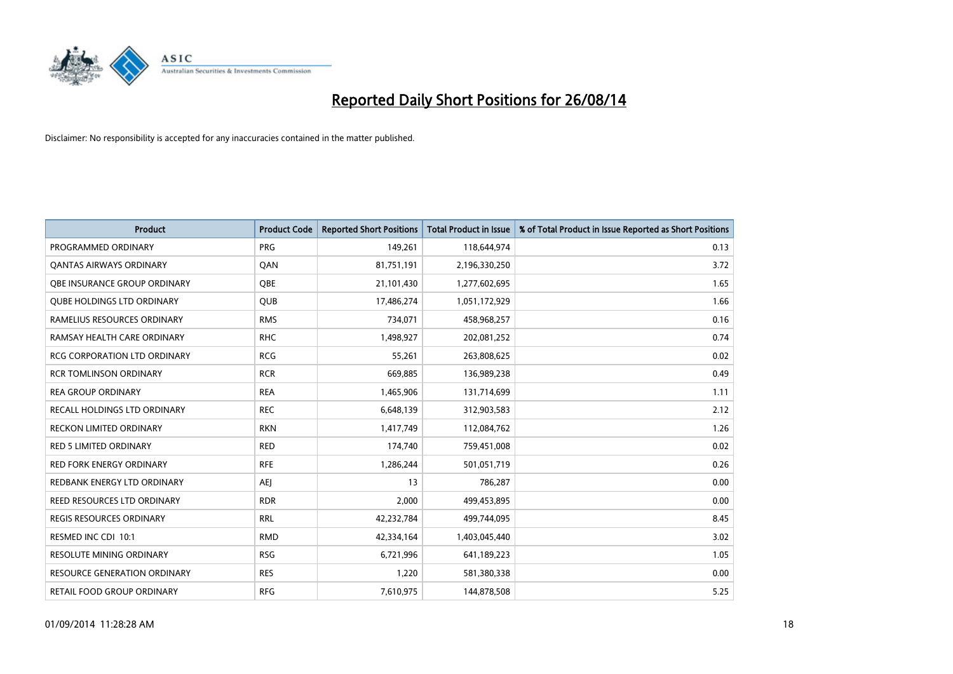

| <b>Product</b>                      | <b>Product Code</b> | <b>Reported Short Positions</b> | <b>Total Product in Issue</b> | % of Total Product in Issue Reported as Short Positions |
|-------------------------------------|---------------------|---------------------------------|-------------------------------|---------------------------------------------------------|
| PROGRAMMED ORDINARY                 | <b>PRG</b>          | 149,261                         | 118,644,974                   | 0.13                                                    |
| <b>QANTAS AIRWAYS ORDINARY</b>      | QAN                 | 81,751,191                      | 2,196,330,250                 | 3.72                                                    |
| <b>OBE INSURANCE GROUP ORDINARY</b> | <b>OBE</b>          | 21,101,430                      | 1,277,602,695                 | 1.65                                                    |
| <b>QUBE HOLDINGS LTD ORDINARY</b>   | <b>QUB</b>          | 17,486,274                      | 1,051,172,929                 | 1.66                                                    |
| RAMELIUS RESOURCES ORDINARY         | <b>RMS</b>          | 734,071                         | 458,968,257                   | 0.16                                                    |
| RAMSAY HEALTH CARE ORDINARY         | <b>RHC</b>          | 1,498,927                       | 202,081,252                   | 0.74                                                    |
| <b>RCG CORPORATION LTD ORDINARY</b> | <b>RCG</b>          | 55,261                          | 263,808,625                   | 0.02                                                    |
| <b>RCR TOMLINSON ORDINARY</b>       | <b>RCR</b>          | 669,885                         | 136,989,238                   | 0.49                                                    |
| <b>REA GROUP ORDINARY</b>           | <b>REA</b>          | 1,465,906                       | 131,714,699                   | 1.11                                                    |
| RECALL HOLDINGS LTD ORDINARY        | <b>REC</b>          | 6,648,139                       | 312,903,583                   | 2.12                                                    |
| RECKON LIMITED ORDINARY             | <b>RKN</b>          | 1,417,749                       | 112,084,762                   | 1.26                                                    |
| <b>RED 5 LIMITED ORDINARY</b>       | <b>RED</b>          | 174,740                         | 759,451,008                   | 0.02                                                    |
| <b>RED FORK ENERGY ORDINARY</b>     | <b>RFE</b>          | 1,286,244                       | 501,051,719                   | 0.26                                                    |
| REDBANK ENERGY LTD ORDINARY         | AEJ                 | 13                              | 786,287                       | 0.00                                                    |
| REED RESOURCES LTD ORDINARY         | <b>RDR</b>          | 2,000                           | 499,453,895                   | 0.00                                                    |
| <b>REGIS RESOURCES ORDINARY</b>     | <b>RRL</b>          | 42,232,784                      | 499,744,095                   | 8.45                                                    |
| RESMED INC CDI 10:1                 | <b>RMD</b>          | 42,334,164                      | 1,403,045,440                 | 3.02                                                    |
| <b>RESOLUTE MINING ORDINARY</b>     | <b>RSG</b>          | 6,721,996                       | 641,189,223                   | 1.05                                                    |
| <b>RESOURCE GENERATION ORDINARY</b> | <b>RES</b>          | 1,220                           | 581,380,338                   | 0.00                                                    |
| RETAIL FOOD GROUP ORDINARY          | <b>RFG</b>          | 7,610,975                       | 144,878,508                   | 5.25                                                    |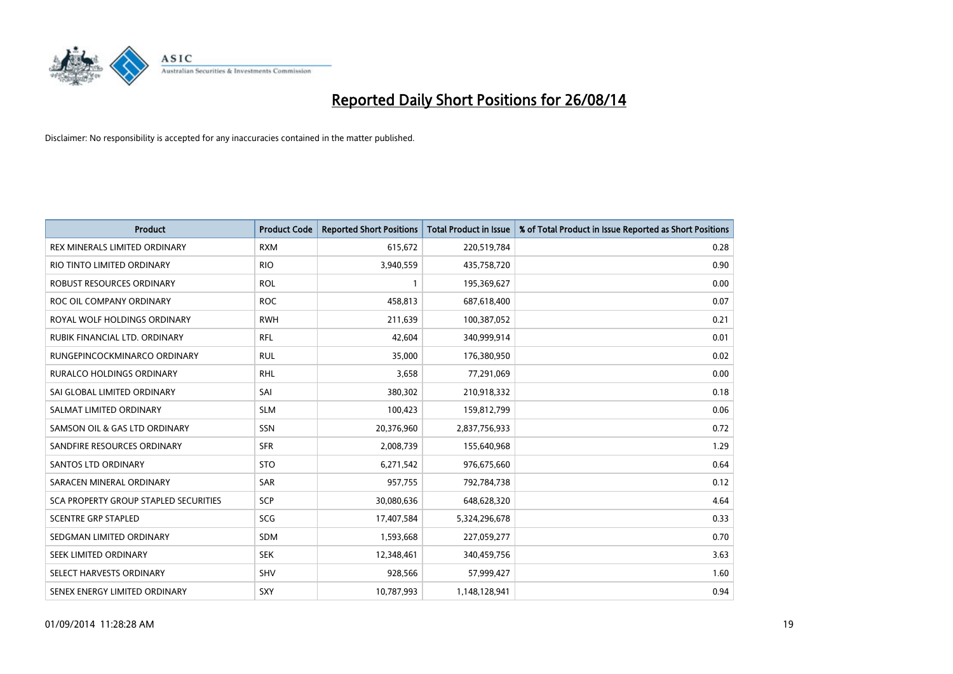

| <b>Product</b>                        | <b>Product Code</b> | <b>Reported Short Positions</b> | <b>Total Product in Issue</b> | % of Total Product in Issue Reported as Short Positions |
|---------------------------------------|---------------------|---------------------------------|-------------------------------|---------------------------------------------------------|
| REX MINERALS LIMITED ORDINARY         | <b>RXM</b>          | 615,672                         | 220,519,784                   | 0.28                                                    |
| RIO TINTO LIMITED ORDINARY            | <b>RIO</b>          | 3,940,559                       | 435,758,720                   | 0.90                                                    |
| <b>ROBUST RESOURCES ORDINARY</b>      | <b>ROL</b>          | $\mathbf{1}$                    | 195,369,627                   | 0.00                                                    |
| ROC OIL COMPANY ORDINARY              | <b>ROC</b>          | 458,813                         | 687,618,400                   | 0.07                                                    |
| ROYAL WOLF HOLDINGS ORDINARY          | <b>RWH</b>          | 211,639                         | 100,387,052                   | 0.21                                                    |
| RUBIK FINANCIAL LTD. ORDINARY         | <b>RFL</b>          | 42,604                          | 340,999,914                   | 0.01                                                    |
| RUNGEPINCOCKMINARCO ORDINARY          | <b>RUL</b>          | 35,000                          | 176,380,950                   | 0.02                                                    |
| <b>RURALCO HOLDINGS ORDINARY</b>      | <b>RHL</b>          | 3,658                           | 77,291,069                    | 0.00                                                    |
| SAI GLOBAL LIMITED ORDINARY           | SAI                 | 380,302                         | 210,918,332                   | 0.18                                                    |
| SALMAT LIMITED ORDINARY               | <b>SLM</b>          | 100,423                         | 159,812,799                   | 0.06                                                    |
| SAMSON OIL & GAS LTD ORDINARY         | SSN                 | 20,376,960                      | 2,837,756,933                 | 0.72                                                    |
| SANDFIRE RESOURCES ORDINARY           | <b>SFR</b>          | 2,008,739                       | 155,640,968                   | 1.29                                                    |
| SANTOS LTD ORDINARY                   | <b>STO</b>          | 6,271,542                       | 976,675,660                   | 0.64                                                    |
| SARACEN MINERAL ORDINARY              | SAR                 | 957,755                         | 792,784,738                   | 0.12                                                    |
| SCA PROPERTY GROUP STAPLED SECURITIES | <b>SCP</b>          | 30,080,636                      | 648,628,320                   | 4.64                                                    |
| <b>SCENTRE GRP STAPLED</b>            | SCG                 | 17,407,584                      | 5,324,296,678                 | 0.33                                                    |
| SEDGMAN LIMITED ORDINARY              | SDM                 | 1,593,668                       | 227,059,277                   | 0.70                                                    |
| SEEK LIMITED ORDINARY                 | <b>SEK</b>          | 12,348,461                      | 340,459,756                   | 3.63                                                    |
| SELECT HARVESTS ORDINARY              | SHV                 | 928,566                         | 57,999,427                    | 1.60                                                    |
| SENEX ENERGY LIMITED ORDINARY         | SXY                 | 10,787,993                      | 1,148,128,941                 | 0.94                                                    |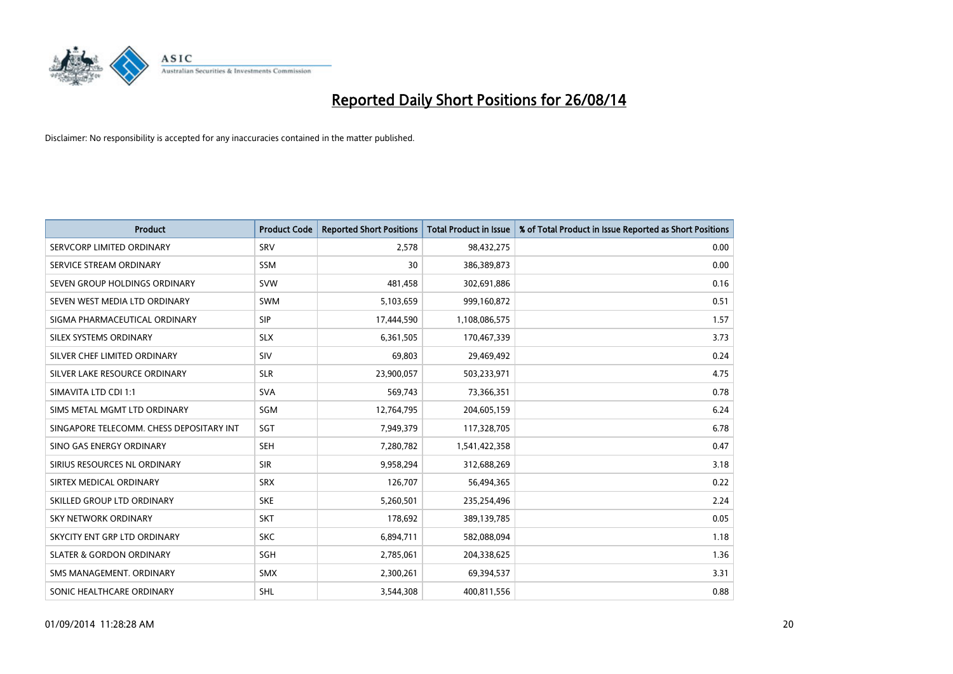

| Product                                  | <b>Product Code</b> | <b>Reported Short Positions</b> | <b>Total Product in Issue</b> | % of Total Product in Issue Reported as Short Positions |
|------------------------------------------|---------------------|---------------------------------|-------------------------------|---------------------------------------------------------|
| SERVCORP LIMITED ORDINARY                | SRV                 | 2,578                           | 98,432,275                    | 0.00                                                    |
| SERVICE STREAM ORDINARY                  | <b>SSM</b>          | 30                              | 386,389,873                   | 0.00                                                    |
| SEVEN GROUP HOLDINGS ORDINARY            | <b>SVW</b>          | 481,458                         | 302,691,886                   | 0.16                                                    |
| SEVEN WEST MEDIA LTD ORDINARY            | <b>SWM</b>          | 5,103,659                       | 999,160,872                   | 0.51                                                    |
| SIGMA PHARMACEUTICAL ORDINARY            | <b>SIP</b>          | 17,444,590                      | 1,108,086,575                 | 1.57                                                    |
| SILEX SYSTEMS ORDINARY                   | <b>SLX</b>          | 6,361,505                       | 170,467,339                   | 3.73                                                    |
| SILVER CHEF LIMITED ORDINARY             | SIV                 | 69,803                          | 29,469,492                    | 0.24                                                    |
| SILVER LAKE RESOURCE ORDINARY            | <b>SLR</b>          | 23,900,057                      | 503,233,971                   | 4.75                                                    |
| SIMAVITA LTD CDI 1:1                     | <b>SVA</b>          | 569.743                         | 73,366,351                    | 0.78                                                    |
| SIMS METAL MGMT LTD ORDINARY             | SGM                 | 12,764,795                      | 204,605,159                   | 6.24                                                    |
| SINGAPORE TELECOMM. CHESS DEPOSITARY INT | SGT                 | 7,949,379                       | 117,328,705                   | 6.78                                                    |
| SINO GAS ENERGY ORDINARY                 | <b>SEH</b>          | 7,280,782                       | 1,541,422,358                 | 0.47                                                    |
| SIRIUS RESOURCES NL ORDINARY             | <b>SIR</b>          | 9,958,294                       | 312,688,269                   | 3.18                                                    |
| SIRTEX MEDICAL ORDINARY                  | <b>SRX</b>          | 126,707                         | 56,494,365                    | 0.22                                                    |
| SKILLED GROUP LTD ORDINARY               | <b>SKE</b>          | 5,260,501                       | 235,254,496                   | 2.24                                                    |
| <b>SKY NETWORK ORDINARY</b>              | <b>SKT</b>          | 178,692                         | 389,139,785                   | 0.05                                                    |
| SKYCITY ENT GRP LTD ORDINARY             | <b>SKC</b>          | 6,894,711                       | 582,088,094                   | 1.18                                                    |
| <b>SLATER &amp; GORDON ORDINARY</b>      | SGH                 | 2,785,061                       | 204,338,625                   | 1.36                                                    |
| SMS MANAGEMENT, ORDINARY                 | <b>SMX</b>          | 2,300,261                       | 69,394,537                    | 3.31                                                    |
| SONIC HEALTHCARE ORDINARY                | <b>SHL</b>          | 3,544,308                       | 400,811,556                   | 0.88                                                    |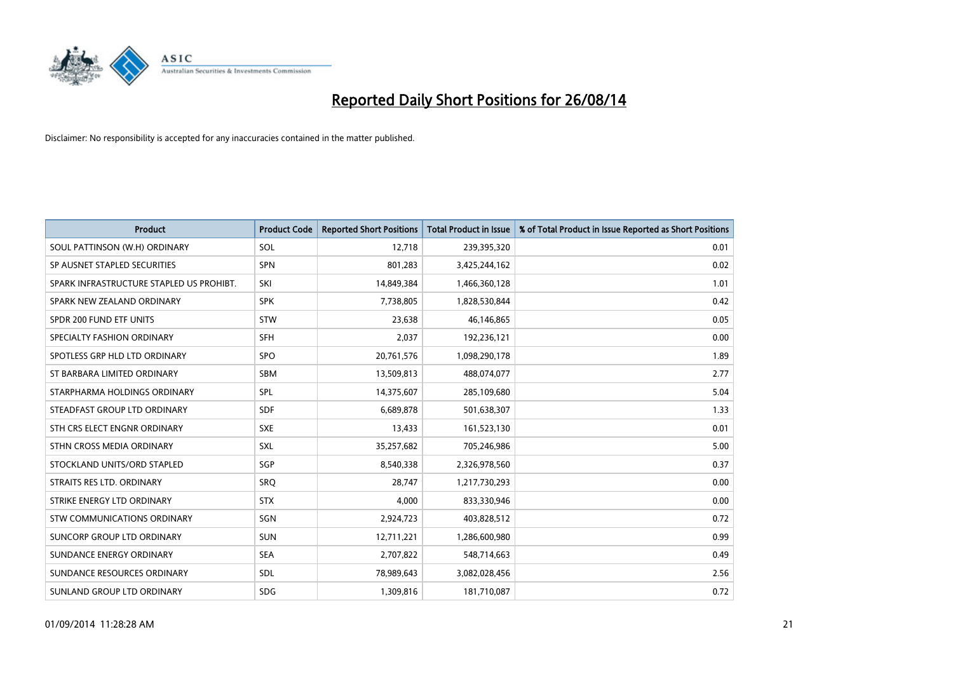

| <b>Product</b>                           | <b>Product Code</b> | <b>Reported Short Positions</b> | <b>Total Product in Issue</b> | % of Total Product in Issue Reported as Short Positions |
|------------------------------------------|---------------------|---------------------------------|-------------------------------|---------------------------------------------------------|
| SOUL PATTINSON (W.H) ORDINARY            | SOL                 | 12,718                          | 239,395,320                   | 0.01                                                    |
| SP AUSNET STAPLED SECURITIES             | <b>SPN</b>          | 801,283                         | 3,425,244,162                 | 0.02                                                    |
| SPARK INFRASTRUCTURE STAPLED US PROHIBT. | SKI                 | 14,849,384                      | 1,466,360,128                 | 1.01                                                    |
| SPARK NEW ZEALAND ORDINARY               | <b>SPK</b>          | 7,738,805                       | 1,828,530,844                 | 0.42                                                    |
| SPDR 200 FUND ETF UNITS                  | <b>STW</b>          | 23,638                          | 46,146,865                    | 0.05                                                    |
| SPECIALTY FASHION ORDINARY               | <b>SFH</b>          | 2,037                           | 192,236,121                   | 0.00                                                    |
| SPOTLESS GRP HLD LTD ORDINARY            | <b>SPO</b>          | 20,761,576                      | 1,098,290,178                 | 1.89                                                    |
| ST BARBARA LIMITED ORDINARY              | SBM                 | 13,509,813                      | 488,074,077                   | 2.77                                                    |
| STARPHARMA HOLDINGS ORDINARY             | SPL                 | 14,375,607                      | 285,109,680                   | 5.04                                                    |
| STEADFAST GROUP LTD ORDINARY             | <b>SDF</b>          | 6,689,878                       | 501,638,307                   | 1.33                                                    |
| STH CRS ELECT ENGNR ORDINARY             | <b>SXE</b>          | 13,433                          | 161,523,130                   | 0.01                                                    |
| STHN CROSS MEDIA ORDINARY                | <b>SXL</b>          | 35,257,682                      | 705,246,986                   | 5.00                                                    |
| STOCKLAND UNITS/ORD STAPLED              | SGP                 | 8,540,338                       | 2,326,978,560                 | 0.37                                                    |
| STRAITS RES LTD. ORDINARY                | SRO                 | 28,747                          | 1,217,730,293                 | 0.00                                                    |
| STRIKE ENERGY LTD ORDINARY               | <b>STX</b>          | 4,000                           | 833,330,946                   | 0.00                                                    |
| STW COMMUNICATIONS ORDINARY              | SGN                 | 2,924,723                       | 403,828,512                   | 0.72                                                    |
| SUNCORP GROUP LTD ORDINARY               | <b>SUN</b>          | 12,711,221                      | 1,286,600,980                 | 0.99                                                    |
| SUNDANCE ENERGY ORDINARY                 | <b>SEA</b>          | 2,707,822                       | 548,714,663                   | 0.49                                                    |
| SUNDANCE RESOURCES ORDINARY              | SDL                 | 78,989,643                      | 3,082,028,456                 | 2.56                                                    |
| SUNLAND GROUP LTD ORDINARY               | <b>SDG</b>          | 1,309,816                       | 181,710,087                   | 0.72                                                    |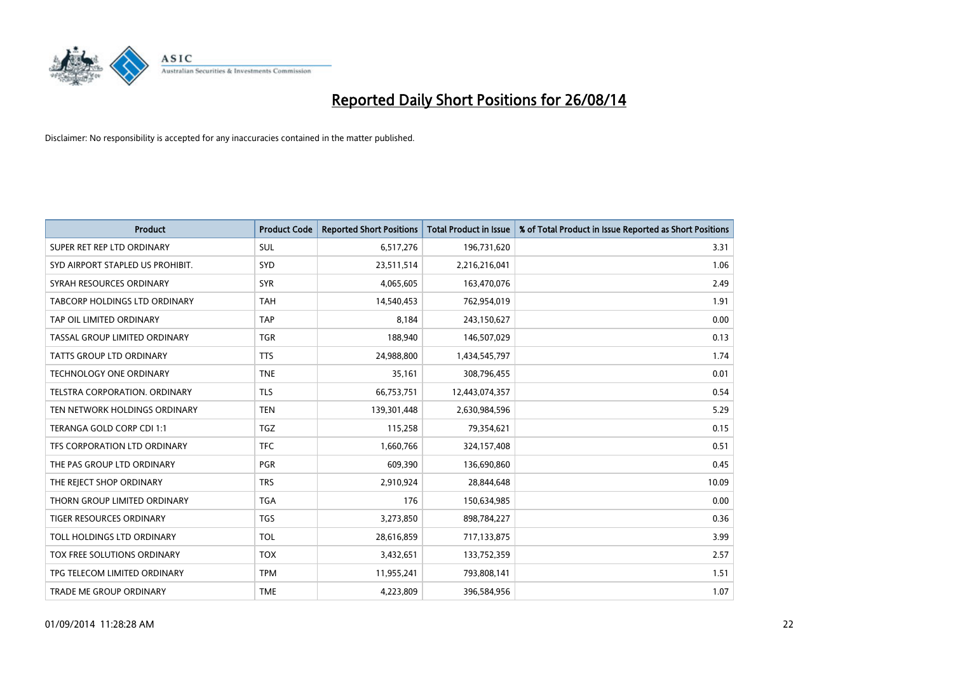

| Product                          | <b>Product Code</b> | <b>Reported Short Positions</b> | <b>Total Product in Issue</b> | % of Total Product in Issue Reported as Short Positions |
|----------------------------------|---------------------|---------------------------------|-------------------------------|---------------------------------------------------------|
| SUPER RET REP LTD ORDINARY       | SUL                 | 6,517,276                       | 196,731,620                   | 3.31                                                    |
| SYD AIRPORT STAPLED US PROHIBIT. | <b>SYD</b>          | 23,511,514                      | 2,216,216,041                 | 1.06                                                    |
| SYRAH RESOURCES ORDINARY         | <b>SYR</b>          | 4,065,605                       | 163,470,076                   | 2.49                                                    |
| TABCORP HOLDINGS LTD ORDINARY    | <b>TAH</b>          | 14,540,453                      | 762,954,019                   | 1.91                                                    |
| TAP OIL LIMITED ORDINARY         | <b>TAP</b>          | 8,184                           | 243,150,627                   | 0.00                                                    |
| TASSAL GROUP LIMITED ORDINARY    | <b>TGR</b>          | 188,940                         | 146,507,029                   | 0.13                                                    |
| TATTS GROUP LTD ORDINARY         | <b>TTS</b>          | 24,988,800                      | 1,434,545,797                 | 1.74                                                    |
| TECHNOLOGY ONE ORDINARY          | <b>TNE</b>          | 35,161                          | 308,796,455                   | 0.01                                                    |
| TELSTRA CORPORATION, ORDINARY    | <b>TLS</b>          | 66,753,751                      | 12,443,074,357                | 0.54                                                    |
| TEN NETWORK HOLDINGS ORDINARY    | <b>TEN</b>          | 139,301,448                     | 2,630,984,596                 | 5.29                                                    |
| TERANGA GOLD CORP CDI 1:1        | <b>TGZ</b>          | 115,258                         | 79,354,621                    | 0.15                                                    |
| TFS CORPORATION LTD ORDINARY     | <b>TFC</b>          | 1,660,766                       | 324,157,408                   | 0.51                                                    |
| THE PAS GROUP LTD ORDINARY       | <b>PGR</b>          | 609,390                         | 136,690,860                   | 0.45                                                    |
| THE REJECT SHOP ORDINARY         | <b>TRS</b>          | 2,910,924                       | 28,844,648                    | 10.09                                                   |
| THORN GROUP LIMITED ORDINARY     | <b>TGA</b>          | 176                             | 150,634,985                   | 0.00                                                    |
| TIGER RESOURCES ORDINARY         | <b>TGS</b>          | 3,273,850                       | 898,784,227                   | 0.36                                                    |
| TOLL HOLDINGS LTD ORDINARY       | <b>TOL</b>          | 28,616,859                      | 717,133,875                   | 3.99                                                    |
| TOX FREE SOLUTIONS ORDINARY      | <b>TOX</b>          | 3,432,651                       | 133,752,359                   | 2.57                                                    |
| TPG TELECOM LIMITED ORDINARY     | <b>TPM</b>          | 11,955,241                      | 793,808,141                   | 1.51                                                    |
| TRADE ME GROUP ORDINARY          | <b>TME</b>          | 4,223,809                       | 396,584,956                   | 1.07                                                    |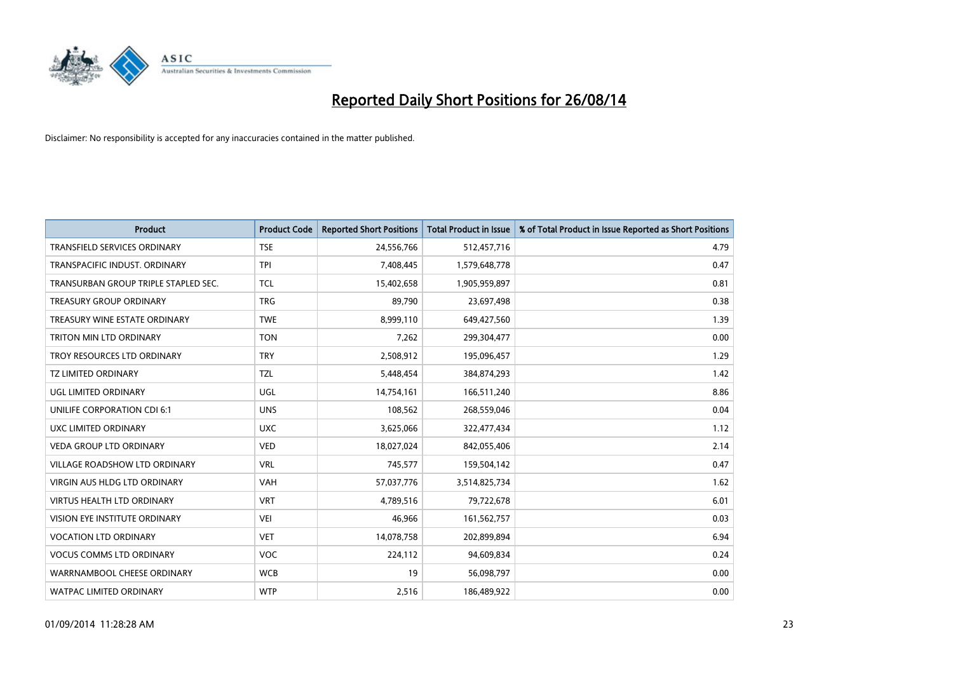

| <b>Product</b>                       | <b>Product Code</b> | <b>Reported Short Positions</b> | <b>Total Product in Issue</b> | % of Total Product in Issue Reported as Short Positions |
|--------------------------------------|---------------------|---------------------------------|-------------------------------|---------------------------------------------------------|
| <b>TRANSFIELD SERVICES ORDINARY</b>  | <b>TSE</b>          | 24,556,766                      | 512,457,716                   | 4.79                                                    |
| TRANSPACIFIC INDUST. ORDINARY        | <b>TPI</b>          | 7,408,445                       | 1,579,648,778                 | 0.47                                                    |
| TRANSURBAN GROUP TRIPLE STAPLED SEC. | <b>TCL</b>          | 15,402,658                      | 1,905,959,897                 | 0.81                                                    |
| <b>TREASURY GROUP ORDINARY</b>       | <b>TRG</b>          | 89,790                          | 23,697,498                    | 0.38                                                    |
| TREASURY WINE ESTATE ORDINARY        | <b>TWE</b>          | 8,999,110                       | 649,427,560                   | 1.39                                                    |
| <b>TRITON MIN LTD ORDINARY</b>       | <b>TON</b>          | 7,262                           | 299,304,477                   | 0.00                                                    |
| TROY RESOURCES LTD ORDINARY          | <b>TRY</b>          | 2,508,912                       | 195,096,457                   | 1.29                                                    |
| TZ LIMITED ORDINARY                  | <b>TZL</b>          | 5,448,454                       | 384,874,293                   | 1.42                                                    |
| <b>UGL LIMITED ORDINARY</b>          | UGL                 | 14,754,161                      | 166,511,240                   | 8.86                                                    |
| UNILIFE CORPORATION CDI 6:1          | <b>UNS</b>          | 108,562                         | 268,559,046                   | 0.04                                                    |
| UXC LIMITED ORDINARY                 | <b>UXC</b>          | 3,625,066                       | 322,477,434                   | 1.12                                                    |
| <b>VEDA GROUP LTD ORDINARY</b>       | <b>VED</b>          | 18,027,024                      | 842,055,406                   | 2.14                                                    |
| <b>VILLAGE ROADSHOW LTD ORDINARY</b> | <b>VRL</b>          | 745,577                         | 159,504,142                   | 0.47                                                    |
| <b>VIRGIN AUS HLDG LTD ORDINARY</b>  | <b>VAH</b>          | 57,037,776                      | 3,514,825,734                 | 1.62                                                    |
| <b>VIRTUS HEALTH LTD ORDINARY</b>    | <b>VRT</b>          | 4,789,516                       | 79,722,678                    | 6.01                                                    |
| VISION EYE INSTITUTE ORDINARY        | <b>VEI</b>          | 46,966                          | 161,562,757                   | 0.03                                                    |
| <b>VOCATION LTD ORDINARY</b>         | <b>VET</b>          | 14,078,758                      | 202,899,894                   | 6.94                                                    |
| <b>VOCUS COMMS LTD ORDINARY</b>      | <b>VOC</b>          | 224,112                         | 94,609,834                    | 0.24                                                    |
| WARRNAMBOOL CHEESE ORDINARY          | <b>WCB</b>          | 19                              | 56,098,797                    | 0.00                                                    |
| <b>WATPAC LIMITED ORDINARY</b>       | <b>WTP</b>          | 2,516                           | 186,489,922                   | 0.00                                                    |